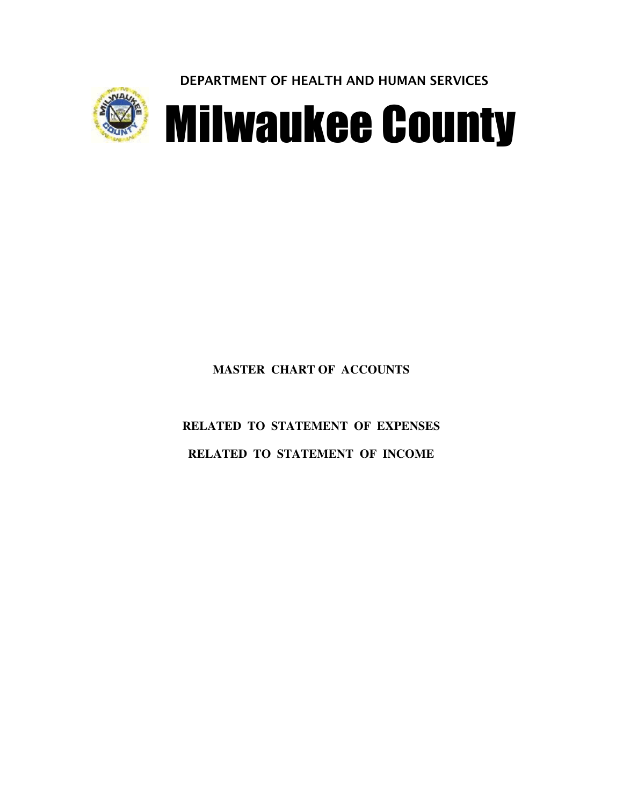DEPARTMENT OF HEALTH AND HUMAN SERVICES



**Milwaukee County** 

# **MASTER CHART OF ACCOUNTS**

**RELATED TO STATEMENT OF EXPENSES RELATED TO STATEMENT OF INCOME**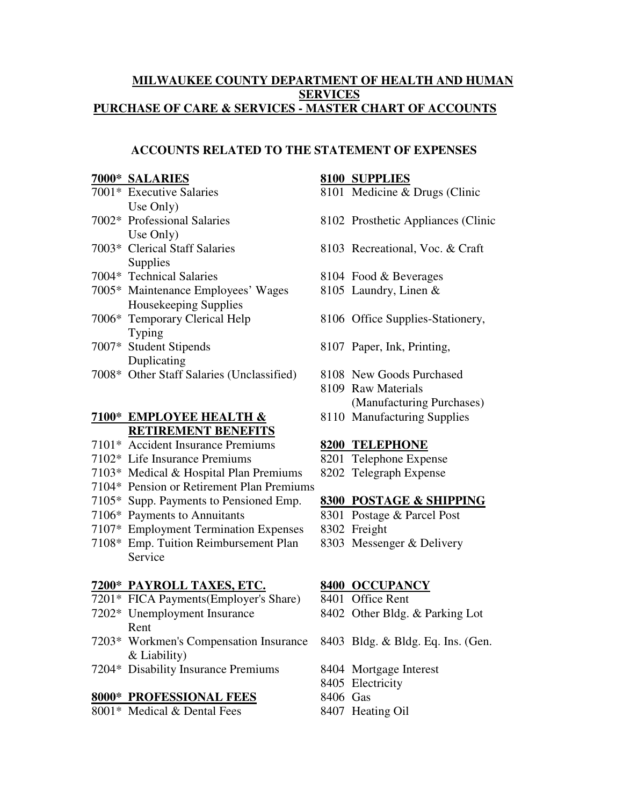#### **MILWAUKEE COUNTY DEPARTMENT OF HEALTH AND HUMAN SERVICES PURCHASE OF CARE & SERVICES - MASTER CHART OF ACCOUNTS**

#### **ACCOUNTS RELATED TO THE STATEMENT OF EXPENSES**

#### **7000\* SALARIES 8100 SUPPLIES**

- Use Only)
- Use Only)
- **Supplies**
- 7004\* Technical Salaries 8104 Food & Beverages
- 7005\* Maintenance Employees' Wages 8105 Laundry, Linen & Housekeeping Supplies
- Typing
- Duplicating
- 7008\* Other Staff Salaries (Unclassified) 8108 New Goods Purchased

# **7100\* EMPLOYEE HEALTH &** 8110 Manufacturing Supplies **RETIREMENT BENEFITS**

- 7101\* Accident Insurance Premiums **8200 TELEPHONE**
- 7102\* Life Insurance Premiums 8201 Telephone Expense
- 7103\* Medical & Hospital Plan Premiums 8202 Telegraph Expense
- 7104\* Pension or Retirement Plan Premiums
- 7105\* Supp. Payments to Pensioned Emp. **8300 POSTAGE & SHIPPING**
- 7106\* Payments to Annuitants 8301 Postage & Parcel Post
- 7107\* Employment Termination Expenses 8302 Freight
- 7108\* Emp. Tuition Reimbursement Plan 8303 Messenger & Delivery Service

#### **7200\* PAYROLL TAXES, ETC. 8400 OCCUPANCY**

- 7201\* FICA Payments(Employer's Share) 8401 Office Rent
- 7202\* Unemployment Insurance 8402 Other Bldg. & Parking Lot Rent
- 7203\* Workmen's Compensation Insurance 8403 Bldg. & Bldg. Eq. Ins. (Gen. & Liability)
- 7204\* Disability Insurance Premiums 8404 Mortgage Interest

#### **8000\* PROFESSIONAL FEES** 8406 Gas

8001\* Medical & Dental Fees 8407 Heating Oil

- 7001\* Executive Salaries 8101 Medicine & Drugs (Clinic
- 7002\* Professional Salaries 8102 Prosthetic Appliances (Clinic
- 7003\* Clerical Staff Salaries 8103 Recreational, Voc. & Craft
	-
	-
- 7006\* Temporary Clerical Help 8106 Office Supplies-Stationery,
- 7007\* Student Stipends 8107 Paper, Ink, Printing,
	-
	- 8109 Raw Materials (Manufacturing Purchases)
	-

- 
- 

- 
- 
- 

- 
- 
- 
- 
- 8405 Electricity
- 
-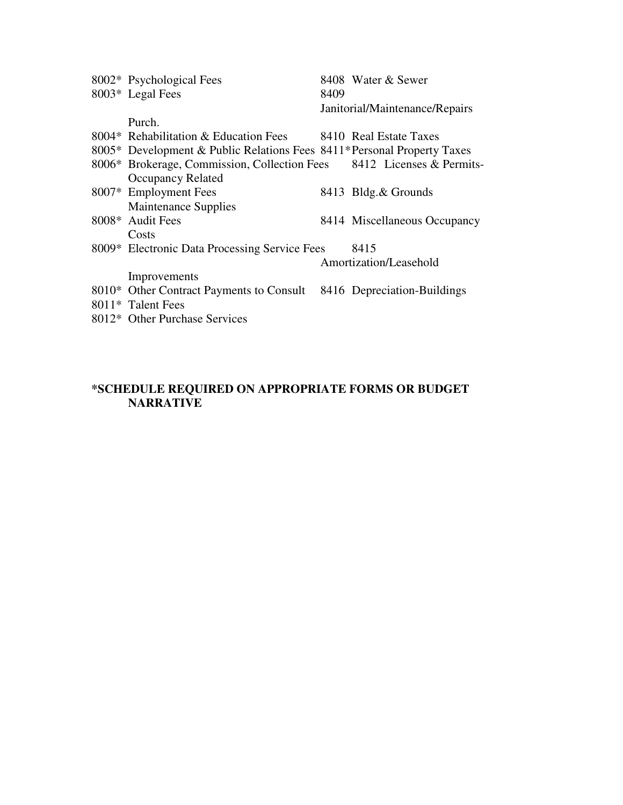| 8002* Psychological Fees                                                |      | 8408 Water & Sewer             |
|-------------------------------------------------------------------------|------|--------------------------------|
| 8003* Legal Fees                                                        | 8409 |                                |
|                                                                         |      | Janitorial/Maintenance/Repairs |
| Purch.                                                                  |      |                                |
| 8004* Rehabilitation & Education Fees 8410 Real Estate Taxes            |      |                                |
| 8005* Development & Public Relations Fees 8411* Personal Property Taxes |      |                                |
| 8006* Brokerage, Commission, Collection Fees 8412 Licenses & Permits-   |      |                                |
| <b>Occupancy Related</b>                                                |      |                                |
| 8007* Employment Fees                                                   |      | 8413 Bldg.& Grounds            |
| <b>Maintenance Supplies</b>                                             |      |                                |
| 8008* Audit Fees                                                        |      | 8414 Miscellaneous Occupancy   |
| Costs                                                                   |      |                                |
| 8009* Electronic Data Processing Service Fees                           |      | 8415                           |
|                                                                         |      | Amortization/Leasehold         |
| Improvements                                                            |      |                                |
| 8010* Other Contract Payments to Consult 8416 Depreciation-Buildings    |      |                                |
| 8011* Talent Fees                                                       |      |                                |
| 8012* Other Purchase Services                                           |      |                                |

#### **\*SCHEDULE REQUIRED ON APPROPRIATE FORMS OR BUDGET NARRATIVE**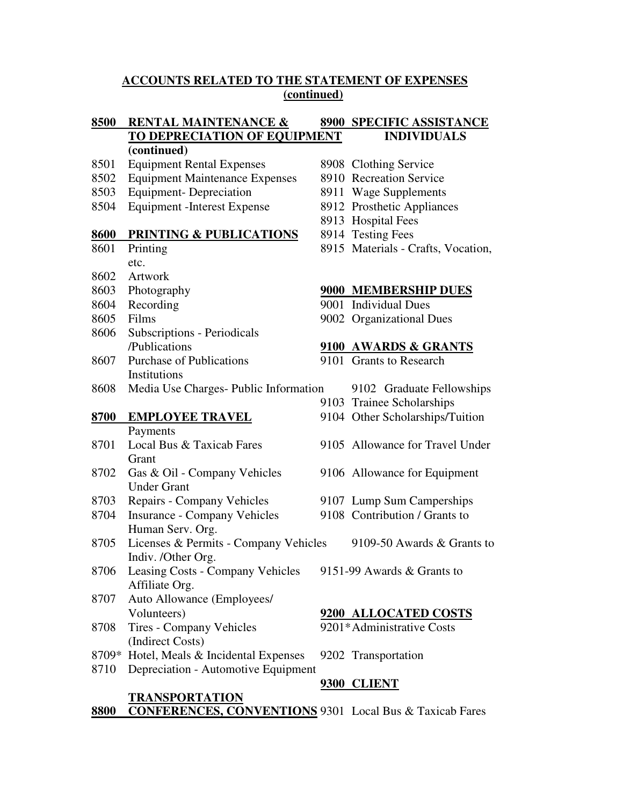#### **ACCOUNTS RELATED TO THE STATEMENT OF EXPENSES (continued)**

# **8500 RENTAL MAINTENANCE & 8900 SPECIFIC ASSISTANCE TO DEPRECIATION OF EQUIPMENT INDIVIDUALS**

#### **(continued)**

- 8501 Equipment Rental Expenses 8908 Clothing Service
- 8502 Equipment Maintenance Expenses 8910 Recreation Service
- 8503 Equipment- Depreciation 8911 Wage Supplements
- 8504 Equipment -Interest Expense 8912 Prosthetic Appliances

#### **8600 PRINTING & PUBLICATIONS** 8914 Testing Fees

- 
- etc.
- 8602 Artwork
- 
- 
- 
- 8606 Subscriptions Periodicals
- 8607 Purchase of Publications 9101 Grants to Research Institutions
- 8608 Media Use Charges- Public Information 9102 Graduate Fellowships

Payments

- **Grant**
- 8702 Gas & Oil Company Vehicles 9106 Allowance for Equipment Under Grant
- 8703 Repairs Company Vehicles 9107 Lump Sum Camperships
- 8704 Insurance Company Vehicles 9108 Contribution / Grants to Human Serv. Org.
- 8705 Licenses & Permits Company Vehicles 9109-50 Awards & Grants to Indiv. /Other Org.
- 8706 Leasing Costs Company Vehicles 9151-99 Awards & Grants to Affiliate Org.
- 8707 Auto Allowance (Employees/
- 8708 Tires Company Vehicles 9201\*Administrative Costs (Indirect Costs)
- 8709\* Hotel, Meals & Incidental Expenses 9202 Transportation
- 8710 Depreciation Automotive Equipment

#### **TRANSPORTATION**

- 
- 
- 
- 
- 8913 Hospital Fees
- 
- 8601 Printing 8915 Materials Crafts, Vocation,

#### 8603 Photography **9000 MEMBERSHIP DUES**

- 8604 Recording 9001 Individual Dues
- 8605 Films 9002 Organizational Dues

#### /Publications **9100 AWARDS & GRANTS**

- 
- 
- 9103 Trainee Scholarships
- **8700 EMPLOYEE TRAVEL** 9104 Other Scholarships/Tuition
- 8701 Local Bus & Taxicab Fares 9105 Allowance for Travel Under
	-
	-
	- -
	-

#### Volunteers) **9200 ALLOCATED COSTS**

# **9300 CLIENT**

**8800 CONFERENCES, CONVENTIONS** 9301 Local Bus & Taxicab Fares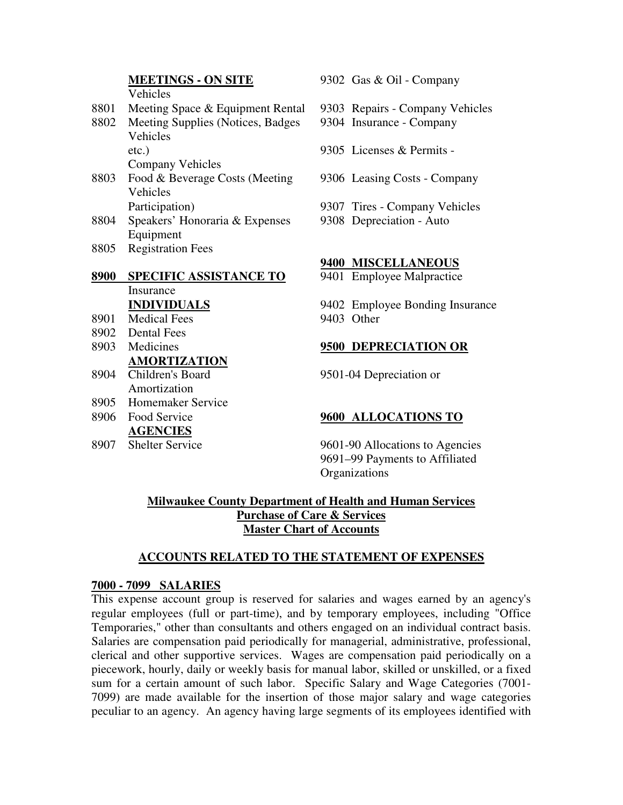# Vehicles

8801 Meeting Space & Equipment Rental 9303 Repairs - Company Vehicles

- 8802 Meeting Supplies (Notices, Badges 9304 Insurance Company
	- Vehicles

Company Vehicles

- 8803 Food & Beverage Costs (Meeting 9306 Leasing Costs Company Vehicles Participation) 9307 Tires - Company Vehicles
- 8804 Speakers' Honoraria & Expenses 9308 Depreciation Auto Equipment
- 8805 Registration Fees

# **8900 SPECIFIC ASSISTANCE TO** 9401 Employee Malpractice Insurance

- 8901 Medical Fees 9403 Other
- 8902 Dental Fees
- 

# **AMORTIZATION**

- Amortization
- 8905 Homemaker Service

# **AGENCIES**

**MEETINGS - ON SITE** 9302 Gas & Oil - Company

- 
- 
- etc.) 9305 Licenses & Permits
	-
	-
	-

# **9400 MISCELLANEOUS**

**INDIVIDUALS** 9402 Employee Bonding Insurance

# 8903 Medicines **9500 DEPRECIATION OR**

8904 Children's Board 9501-04 Depreciation or

#### 8906 Food Service **9600 ALLOCATIONS TO**

8907 Shelter Service 9601-90 Allocations to Agencies 9691–99 Payments to Affiliated **Organizations** 

# **Milwaukee County Department of Health and Human Services Purchase of Care & Services Master Chart of Accounts**

#### **ACCOUNTS RELATED TO THE STATEMENT OF EXPENSES**

#### **7000 - 7099 SALARIES**

This expense account group is reserved for salaries and wages earned by an agency's regular employees (full or part-time), and by temporary employees, including "Office Temporaries," other than consultants and others engaged on an individual contract basis. Salaries are compensation paid periodically for managerial, administrative, professional, clerical and other supportive services. Wages are compensation paid periodically on a piecework, hourly, daily or weekly basis for manual labor, skilled or unskilled, or a fixed sum for a certain amount of such labor. Specific Salary and Wage Categories (7001- 7099) are made available for the insertion of those major salary and wage categories peculiar to an agency. An agency having large segments of its employees identified with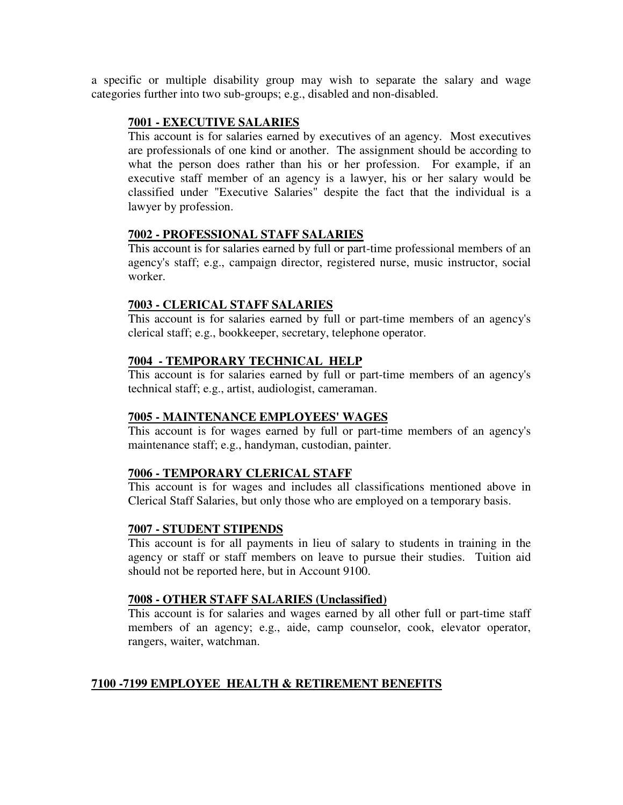a specific or multiple disability group may wish to separate the salary and wage categories further into two sub-groups; e.g., disabled and non-disabled.

#### **7001 - EXECUTIVE SALARIES**

This account is for salaries earned by executives of an agency. Most executives are professionals of one kind or another. The assignment should be according to what the person does rather than his or her profession. For example, if an executive staff member of an agency is a lawyer, his or her salary would be classified under "Executive Salaries" despite the fact that the individual is a lawyer by profession.

# **7002 - PROFESSIONAL STAFF SALARIES**

This account is for salaries earned by full or part-time professional members of an agency's staff; e.g., campaign director, registered nurse, music instructor, social worker.

# **7003 - CLERICAL STAFF SALARIES**

This account is for salaries earned by full or part-time members of an agency's clerical staff; e.g., bookkeeper, secretary, telephone operator.

# **7004 - TEMPORARY TECHNICAL HELP**

This account is for salaries earned by full or part-time members of an agency's technical staff; e.g., artist, audiologist, cameraman.

#### **7005 - MAINTENANCE EMPLOYEES' WAGES**

This account is for wages earned by full or part-time members of an agency's maintenance staff; e.g., handyman, custodian, painter.

# **7006 - TEMPORARY CLERICAL STAFF**

This account is for wages and includes all classifications mentioned above in Clerical Staff Salaries, but only those who are employed on a temporary basis.

#### **7007 - STUDENT STIPENDS**

This account is for all payments in lieu of salary to students in training in the agency or staff or staff members on leave to pursue their studies. Tuition aid should not be reported here, but in Account 9100.

#### **7008 - OTHER STAFF SALARIES (Unclassified)**

This account is for salaries and wages earned by all other full or part-time staff members of an agency; e.g., aide, camp counselor, cook, elevator operator, rangers, waiter, watchman.

# **7100 -7199 EMPLOYEE HEALTH & RETIREMENT BENEFITS**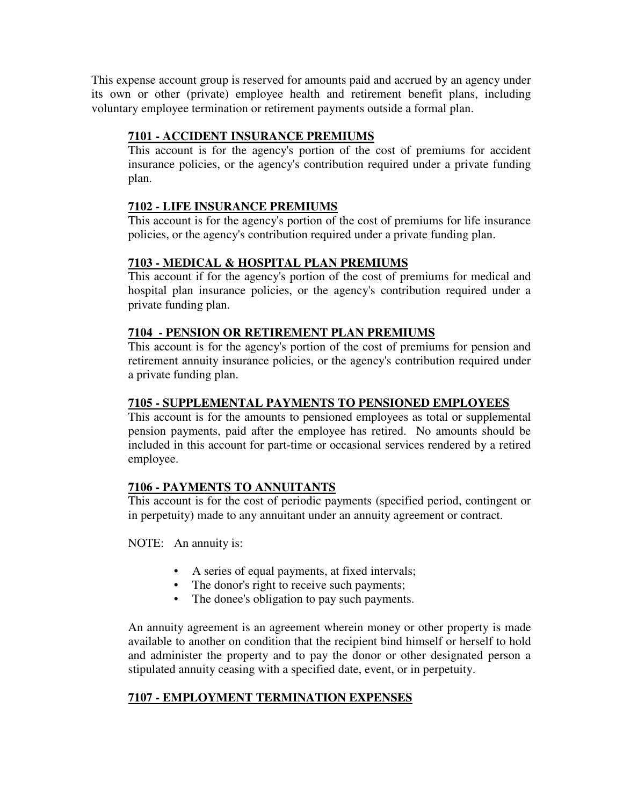This expense account group is reserved for amounts paid and accrued by an agency under its own or other (private) employee health and retirement benefit plans, including voluntary employee termination or retirement payments outside a formal plan.

# **7101 - ACCIDENT INSURANCE PREMIUMS**

This account is for the agency's portion of the cost of premiums for accident insurance policies, or the agency's contribution required under a private funding plan.

# **7102 - LIFE INSURANCE PREMIUMS**

This account is for the agency's portion of the cost of premiums for life insurance policies, or the agency's contribution required under a private funding plan.

# **7103 - MEDICAL & HOSPITAL PLAN PREMIUMS**

This account if for the agency's portion of the cost of premiums for medical and hospital plan insurance policies, or the agency's contribution required under a private funding plan.

# **7104 - PENSION OR RETIREMENT PLAN PREMIUMS**

This account is for the agency's portion of the cost of premiums for pension and retirement annuity insurance policies, or the agency's contribution required under a private funding plan.

# **7105 - SUPPLEMENTAL PAYMENTS TO PENSIONED EMPLOYEES**

This account is for the amounts to pensioned employees as total or supplemental pension payments, paid after the employee has retired. No amounts should be included in this account for part-time or occasional services rendered by a retired employee.

# **7106 - PAYMENTS TO ANNUITANTS**

This account is for the cost of periodic payments (specified period, contingent or in perpetuity) made to any annuitant under an annuity agreement or contract.

NOTE: An annuity is:

- A series of equal payments, at fixed intervals;
- The donor's right to receive such payments;
- The donee's obligation to pay such payments.

An annuity agreement is an agreement wherein money or other property is made available to another on condition that the recipient bind himself or herself to hold and administer the property and to pay the donor or other designated person a stipulated annuity ceasing with a specified date, event, or in perpetuity.

# **7107 - EMPLOYMENT TERMINATION EXPENSES**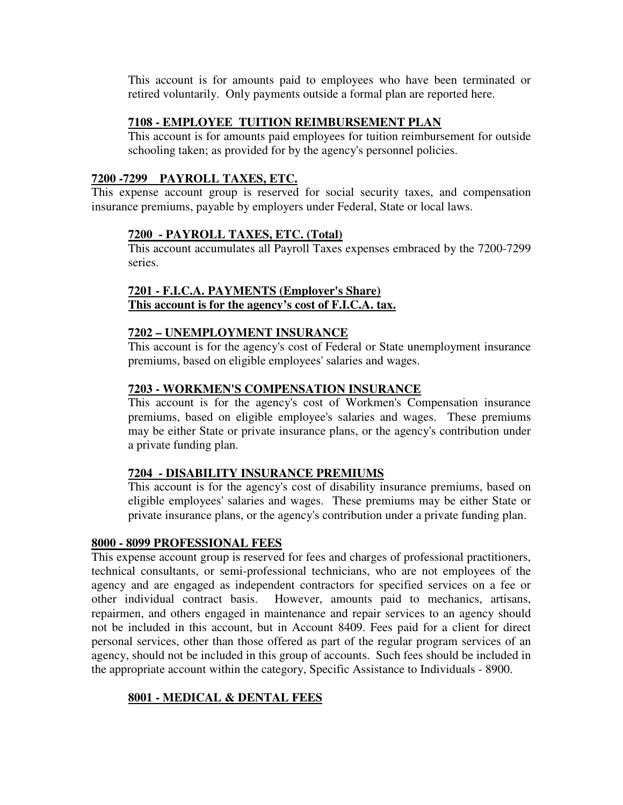This account is for amounts paid to employees who have been terminated or retired voluntarily. Only payments outside a formal plan are reported here.

#### **7108 - EMPLOYEE TUITION REIMBURSEMENT PLAN**

This account is for amounts paid employees for tuition reimbursement for outside schooling taken; as provided for by the agency's personnel policies.

#### **7200 -7299 PAYROLL TAXES, ETC.**

This expense account group is reserved for social security taxes, and compensation insurance premiums, payable by employers under Federal, State or local laws.

# **7200 - PAYROLL TAXES, ETC. (Total)**

This account accumulates all Payroll Taxes expenses embraced by the 7200-7299 series.

# **7201 - F.I.C.A. PAYMENTS (Employer's Share) This account is for the agency's cost of F.I.C.A. tax.**

# **7202 – UNEMPLOYMENT INSURANCE**

This account is for the agency's cost of Federal or State unemployment insurance premiums, based on eligible employees'salaries and wages.

# **7203 - WORKMEN'S COMPENSATION INSURANCE**

This account is for the agency's cost of Workmen's Compensation insurance premiums, based on eligible employee's salaries and wages. These premiums may be either State or private insurance plans, or the agency's contribution under a private funding plan.

#### **7204 - DISABILITY INSURANCE PREMIUMS**

This account is for the agency's cost of disability insurance premiums, based on eligible employees'salaries and wages. These premiums may be either State or private insurance plans, or the agency's contribution under a private funding plan.

#### **8000 - 8099 PROFESSIONAL FEES**

This expense account group is reserved for fees and charges of professional practitioners, technical consultants, or semi-professional technicians, who are not employees of the agency and are engaged as independent contractors for specified services on a fee or other individual contract basis. However, amounts paid to mechanics, artisans, repairmen, and others engaged in maintenance and repair services to an agency should not be included in this account, but in Account 8409. Fees paid for a client for direct personal services, other than those offered as part of the regular program services of an agency, should not be included in this group of accounts. Such fees should be included in the appropriate account within the category, Specific Assistance to Individuals - 8900.

# **8001 - MEDICAL & DENTAL FEES**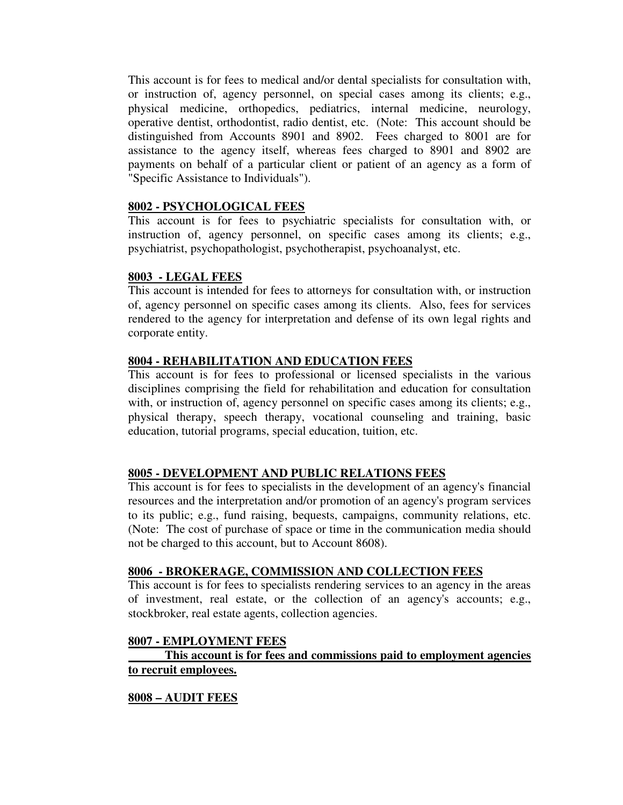This account is for fees to medical and/or dental specialists for consultation with, or instruction of, agency personnel, on special cases among its clients; e.g., physical medicine, orthopedics, pediatrics, internal medicine, neurology, operative dentist, orthodontist, radio dentist, etc. (Note: This account should be distinguished from Accounts 8901 and 8902. Fees charged to 8001 are for assistance to the agency itself, whereas fees charged to 8901 and 8902 are payments on behalf of a particular client or patient of an agency as a form of "Specific Assistance to Individuals").

#### **8002 - PSYCHOLOGICAL FEES**

This account is for fees to psychiatric specialists for consultation with, or instruction of, agency personnel, on specific cases among its clients; e.g., psychiatrist, psychopathologist, psychotherapist, psychoanalyst, etc.

#### **8003 - LEGAL FEES**

This account is intended for fees to attorneys for consultation with, or instruction of, agency personnel on specific cases among its clients. Also, fees for services rendered to the agency for interpretation and defense of its own legal rights and corporate entity.

#### **8004 - REHABILITATION AND EDUCATION FEES**

This account is for fees to professional or licensed specialists in the various disciplines comprising the field for rehabilitation and education for consultation with, or instruction of, agency personnel on specific cases among its clients; e.g., physical therapy, speech therapy, vocational counseling and training, basic education, tutorial programs, special education, tuition, etc.

# **8005 - DEVELOPMENT AND PUBLIC RELATIONS FEES**

This account is for fees to specialists in the development of an agency's financial resources and the interpretation and/or promotion of an agency's program services to its public; e.g., fund raising, bequests, campaigns, community relations, etc. (Note: The cost of purchase of space or time in the communication media should not be charged to this account, but to Account 8608).

#### **8006 - BROKERAGE, COMMISSION AND COLLECTION FEES**

This account is for fees to specialists rendering services to an agency in the areas of investment, real estate, or the collection of an agency's accounts; e.g., stockbroker, real estate agents, collection agencies.

#### **8007 - EMPLOYMENT FEES**

# **This account is for fees and commissions paid to employment agencies to recruit employees.**

#### **8008 – AUDIT FEES**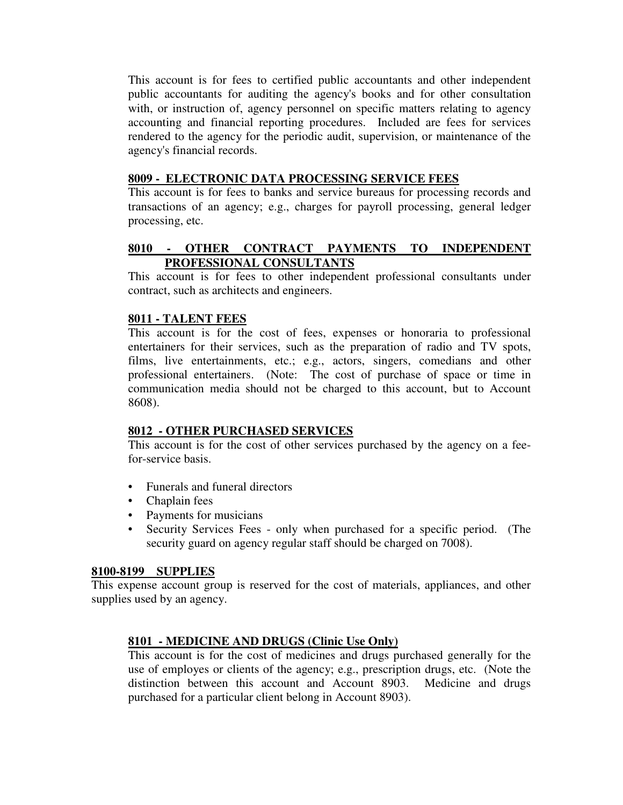This account is for fees to certified public accountants and other independent public accountants for auditing the agency's books and for other consultation with, or instruction of, agency personnel on specific matters relating to agency accounting and financial reporting procedures. Included are fees for services rendered to the agency for the periodic audit, supervision, or maintenance of the agency's financial records.

#### **8009 - ELECTRONIC DATA PROCESSING SERVICE FEES**

This account is for fees to banks and service bureaus for processing records and transactions of an agency; e.g., charges for payroll processing, general ledger processing, etc.

# **8010 - OTHER CONTRACT PAYMENTS TO INDEPENDENT PROFESSIONAL CONSULTANTS**

This account is for fees to other independent professional consultants under contract, such as architects and engineers.

#### **8011 - TALENT FEES**

This account is for the cost of fees, expenses or honoraria to professional entertainers for their services, such as the preparation of radio and TV spots, films, live entertainments, etc.; e.g., actors, singers, comedians and other professional entertainers. (Note: The cost of purchase of space or time in communication media should not be charged to this account, but to Account 8608).

#### **8012 - OTHER PURCHASED SERVICES**

This account is for the cost of other services purchased by the agency on a feefor-service basis.

- Funerals and funeral directors
- Chaplain fees
- Payments for musicians
- Security Services Fees only when purchased for a specific period. (The security guard on agency regular staff should be charged on 7008).

#### **8100-8199 SUPPLIES**

This expense account group is reserved for the cost of materials, appliances, and other supplies used by an agency.

#### **8101 - MEDICINE AND DRUGS (Clinic Use Only)**

This account is for the cost of medicines and drugs purchased generally for the use of employes or clients of the agency; e.g., prescription drugs, etc. (Note the distinction between this account and Account 8903. Medicine and drugs purchased for a particular client belong in Account 8903).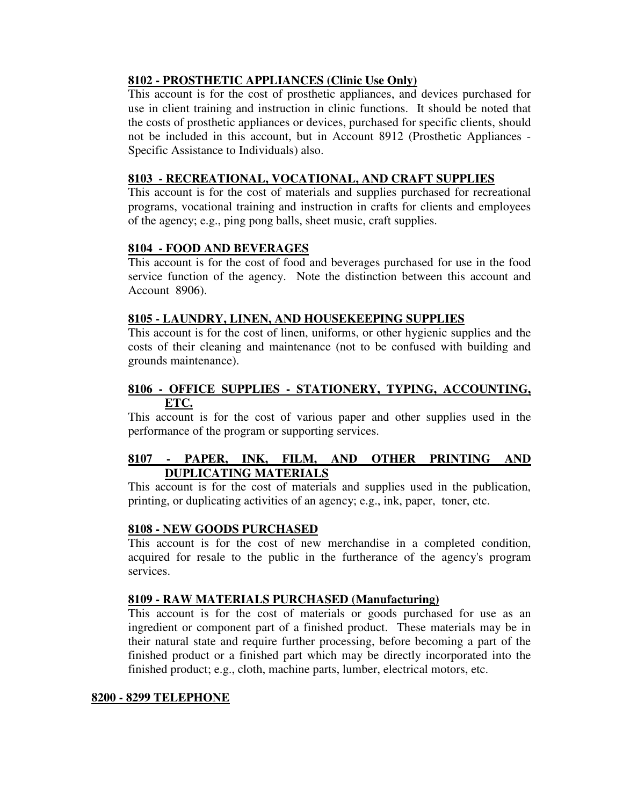# **8102 - PROSTHETIC APPLIANCES (Clinic Use Only)**

This account is for the cost of prosthetic appliances, and devices purchased for use in client training and instruction in clinic functions. It should be noted that the costs of prosthetic appliances or devices, purchased for specific clients, should not be included in this account, but in Account 8912 (Prosthetic Appliances - Specific Assistance to Individuals) also.

# **8103 - RECREATIONAL, VOCATIONAL, AND CRAFT SUPPLIES**

This account is for the cost of materials and supplies purchased for recreational programs, vocational training and instruction in crafts for clients and employees of the agency; e.g., ping pong balls, sheet music, craft supplies.

# **8104 - FOOD AND BEVERAGES**

This account is for the cost of food and beverages purchased for use in the food service function of the agency. Note the distinction between this account and Account 8906).

# **8105 - LAUNDRY, LINEN, AND HOUSEKEEPING SUPPLIES**

This account is for the cost of linen, uniforms, or other hygienic supplies and the costs of their cleaning and maintenance (not to be confused with building and grounds maintenance).

# **8106 - OFFICE SUPPLIES - STATIONERY, TYPING, ACCOUNTING, ETC.**

This account is for the cost of various paper and other supplies used in the performance of the program or supporting services.

# **8107 - PAPER, INK, FILM, AND OTHER PRINTING AND DUPLICATING MATERIALS**

This account is for the cost of materials and supplies used in the publication, printing, or duplicating activities of an agency; e.g., ink, paper, toner, etc.

#### **8108 - NEW GOODS PURCHASED**

This account is for the cost of new merchandise in a completed condition, acquired for resale to the public in the furtherance of the agency's program services.

#### **8109 - RAW MATERIALS PURCHASED (Manufacturing)**

This account is for the cost of materials or goods purchased for use as an ingredient or component part of a finished product. These materials may be in their natural state and require further processing, before becoming a part of the finished product or a finished part which may be directly incorporated into the finished product; e.g., cloth, machine parts, lumber, electrical motors, etc.

#### **8200 - 8299 TELEPHONE**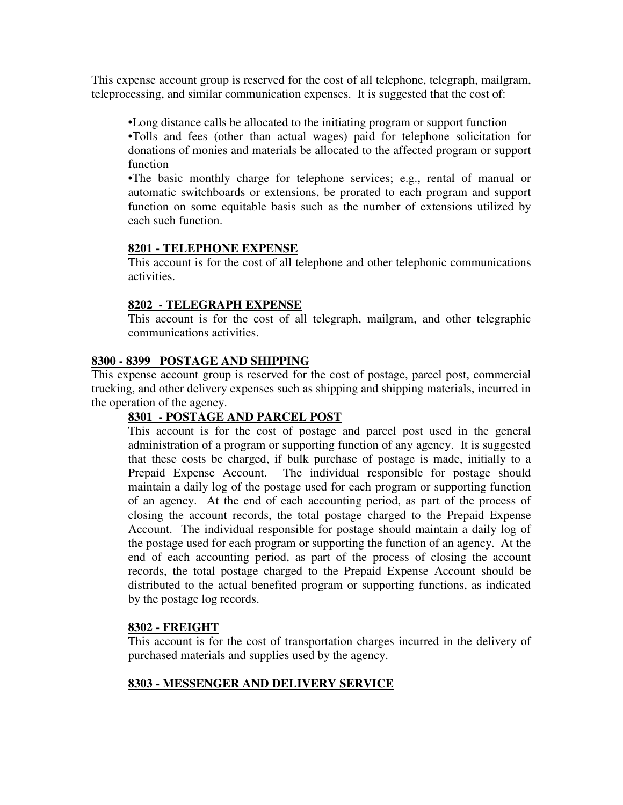This expense account group is reserved for the cost of all telephone, telegraph, mailgram, teleprocessing, and similar communication expenses. It is suggested that the cost of:

•Long distance calls be allocated to the initiating program or support function •Tolls and fees (other than actual wages) paid for telephone solicitation for donations of monies and materials be allocated to the affected program or support function

•The basic monthly charge for telephone services; e.g., rental of manual or automatic switchboards or extensions, be prorated to each program and support function on some equitable basis such as the number of extensions utilized by each such function.

# **8201 - TELEPHONE EXPENSE**

This account is for the cost of all telephone and other telephonic communications activities.

# **8202 - TELEGRAPH EXPENSE**

This account is for the cost of all telegraph, mailgram, and other telegraphic communications activities.

# **8300 - 8399 POSTAGE AND SHIPPING**

This expense account group is reserved for the cost of postage, parcel post, commercial trucking, and other delivery expenses such as shipping and shipping materials, incurred in the operation of the agency.

# **8301 - POSTAGE AND PARCEL POST**

This account is for the cost of postage and parcel post used in the general administration of a program or supporting function of any agency. It is suggested that these costs be charged, if bulk purchase of postage is made, initially to a Prepaid Expense Account. The individual responsible for postage should maintain a daily log of the postage used for each program or supporting function of an agency. At the end of each accounting period, as part of the process of closing the account records, the total postage charged to the Prepaid Expense Account. The individual responsible for postage should maintain a daily log of the postage used for each program or supporting the function of an agency. At the end of each accounting period, as part of the process of closing the account records, the total postage charged to the Prepaid Expense Account should be distributed to the actual benefited program or supporting functions, as indicated by the postage log records.

#### **8302 - FREIGHT**

This account is for the cost of transportation charges incurred in the delivery of purchased materials and supplies used by the agency.

# **8303 - MESSENGER AND DELIVERY SERVICE**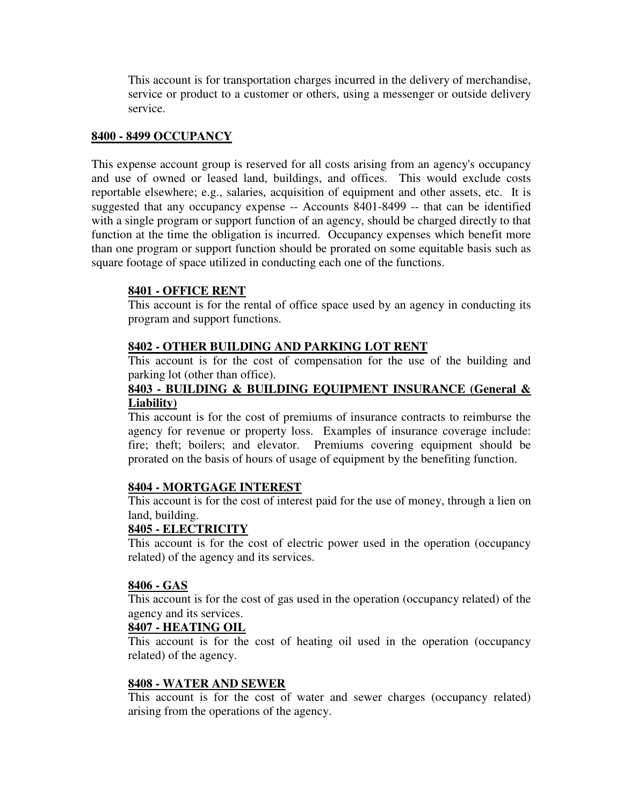This account is for transportation charges incurred in the delivery of merchandise, service or product to a customer or others, using a messenger or outside delivery service.

#### **8400 - 8499 OCCUPANCY**

This expense account group is reserved for all costs arising from an agency's occupancy and use of owned or leased land, buildings, and offices. This would exclude costs reportable elsewhere; e.g., salaries, acquisition of equipment and other assets, etc. It is suggested that any occupancy expense -- Accounts 8401-8499 -- that can be identified with a single program or support function of an agency, should be charged directly to that function at the time the obligation is incurred. Occupancy expenses which benefit more than one program or support function should be prorated on some equitable basis such as square footage of space utilized in conducting each one of the functions.

#### **8401 - OFFICE RENT**

This account is for the rental of office space used by an agency in conducting its program and support functions.

#### **8402 - OTHER BUILDING AND PARKING LOT RENT**

This account is for the cost of compensation for the use of the building and parking lot (other than office).

#### **8403 - BUILDING & BUILDING EQUIPMENT INSURANCE (General & Liability)**

This account is for the cost of premiums of insurance contracts to reimburse the agency for revenue or property loss. Examples of insurance coverage include: fire; theft; boilers; and elevator. Premiums covering equipment should be prorated on the basis of hours of usage of equipment by the benefiting function.

#### **8404 - MORTGAGE INTEREST**

This account is for the cost of interest paid for the use of money, through a lien on land, building.

#### **8405 - ELECTRICITY**

This account is for the cost of electric power used in the operation (occupancy related) of the agency and its services.

#### **8406 - GAS**

This account is for the cost of gas used in the operation (occupancy related) of the agency and its services.

#### **8407 - HEATING OIL**

This account is for the cost of heating oil used in the operation (occupancy related) of the agency.

#### **8408 - WATER AND SEWER**

This account is for the cost of water and sewer charges (occupancy related) arising from the operations of the agency.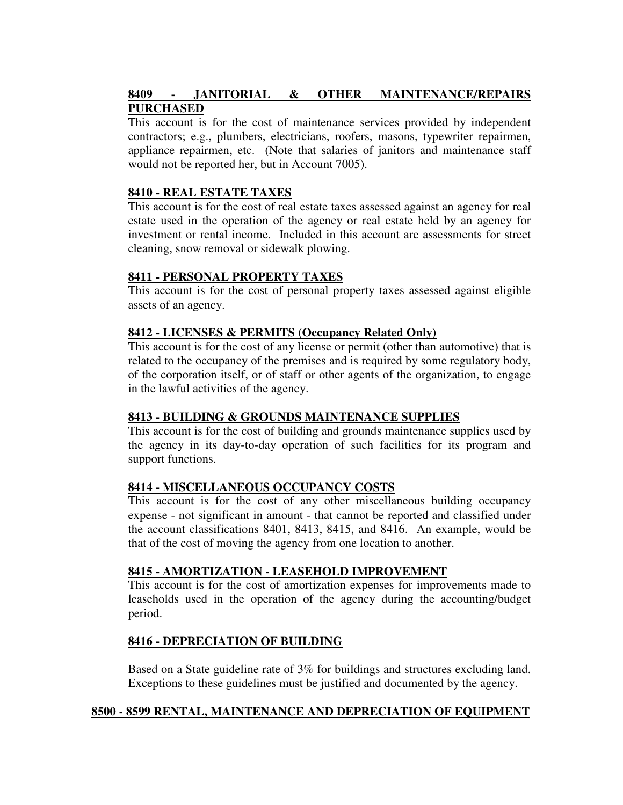# **8409 - JANITORIAL & OTHER MAINTENANCE/REPAIRS PURCHASED**

This account is for the cost of maintenance services provided by independent contractors; e.g., plumbers, electricians, roofers, masons, typewriter repairmen, appliance repairmen, etc. (Note that salaries of janitors and maintenance staff would not be reported her, but in Account 7005).

# **8410 - REAL ESTATE TAXES**

This account is for the cost of real estate taxes assessed against an agency for real estate used in the operation of the agency or real estate held by an agency for investment or rental income. Included in this account are assessments for street cleaning, snow removal or sidewalk plowing.

# **8411 - PERSONAL PROPERTY TAXES**

This account is for the cost of personal property taxes assessed against eligible assets of an agency.

#### **8412 - LICENSES & PERMITS (Occupancy Related Only)**

This account is for the cost of any license or permit (other than automotive) that is related to the occupancy of the premises and is required by some regulatory body, of the corporation itself, or of staff or other agents of the organization, to engage in the lawful activities of the agency.

#### **8413 - BUILDING & GROUNDS MAINTENANCE SUPPLIES**

This account is for the cost of building and grounds maintenance supplies used by the agency in its day-to-day operation of such facilities for its program and support functions.

# **8414 - MISCELLANEOUS OCCUPANCY COSTS**

This account is for the cost of any other miscellaneous building occupancy expense - not significant in amount - that cannot be reported and classified under the account classifications 8401, 8413, 8415, and 8416. An example, would be that of the cost of moving the agency from one location to another.

#### **8415 - AMORTIZATION - LEASEHOLD IMPROVEMENT**

This account is for the cost of amortization expenses for improvements made to leaseholds used in the operation of the agency during the accounting/budget period.

# **8416 - DEPRECIATION OF BUILDING**

Based on a State guideline rate of 3% for buildings and structures excluding land. Exceptions to these guidelines must be justified and documented by the agency.

#### **8500 - 8599 RENTAL, MAINTENANCE AND DEPRECIATION OF EQUIPMENT**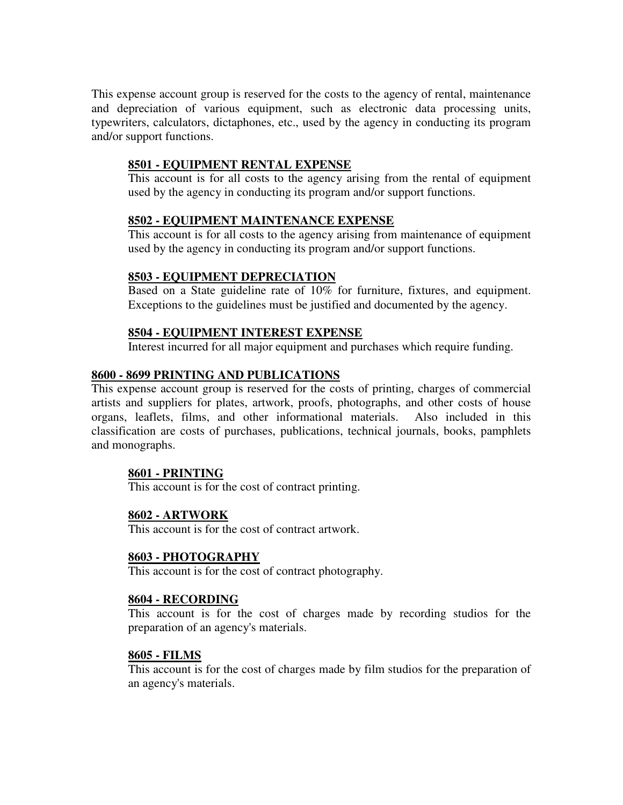This expense account group is reserved for the costs to the agency of rental, maintenance and depreciation of various equipment, such as electronic data processing units, typewriters, calculators, dictaphones, etc., used by the agency in conducting its program and/or support functions.

# **8501 - EQUIPMENT RENTAL EXPENSE**

This account is for all costs to the agency arising from the rental of equipment used by the agency in conducting its program and/or support functions.

# **8502 - EQUIPMENT MAINTENANCE EXPENSE**

This account is for all costs to the agency arising from maintenance of equipment used by the agency in conducting its program and/or support functions.

#### **8503 - EQUIPMENT DEPRECIATION**

Based on a State guideline rate of 10% for furniture, fixtures, and equipment. Exceptions to the guidelines must be justified and documented by the agency.

#### **8504 - EQUIPMENT INTEREST EXPENSE**

Interest incurred for all major equipment and purchases which require funding.

# **8600 - 8699 PRINTING AND PUBLICATIONS**

This expense account group is reserved for the costs of printing, charges of commercial artists and suppliers for plates, artwork, proofs, photographs, and other costs of house organs, leaflets, films, and other informational materials. Also included in this classification are costs of purchases, publications, technical journals, books, pamphlets and monographs.

# **8601 - PRINTING**

This account is for the cost of contract printing.

# **8602 - ARTWORK**

This account is for the cost of contract artwork.

#### **8603 - PHOTOGRAPHY**

This account is for the cost of contract photography.

#### **8604 - RECORDING**

This account is for the cost of charges made by recording studios for the preparation of an agency's materials.

#### **8605 - FILMS**

This account is for the cost of charges made by film studios for the preparation of an agency's materials.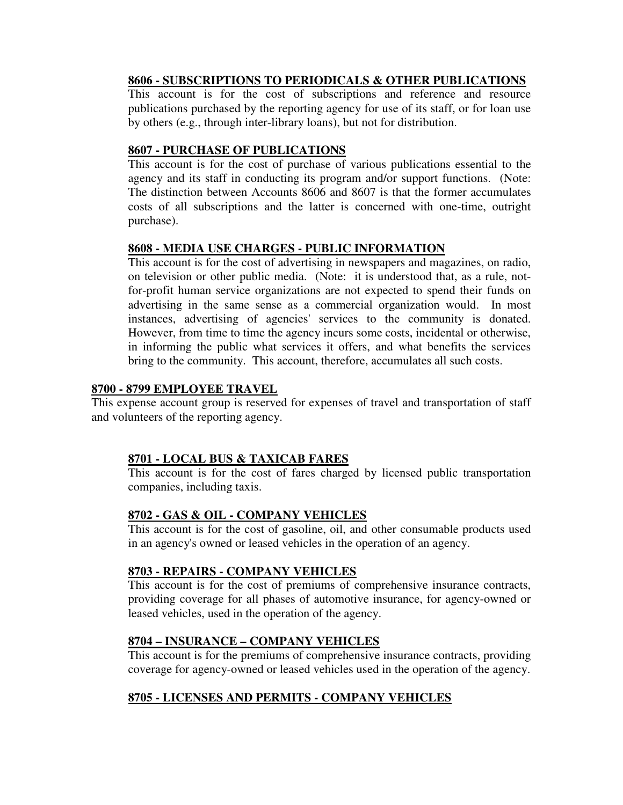# **8606 - SUBSCRIPTIONS TO PERIODICALS & OTHER PUBLICATIONS**

This account is for the cost of subscriptions and reference and resource publications purchased by the reporting agency for use of its staff, or for loan use by others (e.g., through inter-library loans), but not for distribution.

# **8607 - PURCHASE OF PUBLICATIONS**

This account is for the cost of purchase of various publications essential to the agency and its staff in conducting its program and/or support functions. (Note: The distinction between Accounts 8606 and 8607 is that the former accumulates costs of all subscriptions and the latter is concerned with one-time, outright purchase).

# **8608 - MEDIA USE CHARGES - PUBLIC INFORMATION**

This account is for the cost of advertising in newspapers and magazines, on radio, on television or other public media. (Note: it is understood that, as a rule, notfor-profit human service organizations are not expected to spend their funds on advertising in the same sense as a commercial organization would. In most instances, advertising of agencies' services to the community is donated. However, from time to time the agency incurs some costs, incidental or otherwise, in informing the public what services it offers, and what benefits the services bring to the community. This account, therefore, accumulates all such costs.

# **8700 - 8799 EMPLOYEE TRAVEL**

This expense account group is reserved for expenses of travel and transportation of staff and volunteers of the reporting agency.

# **8701 - LOCAL BUS & TAXICAB FARES**

This account is for the cost of fares charged by licensed public transportation companies, including taxis.

# **8702 - GAS & OIL - COMPANY VEHICLES**

This account is for the cost of gasoline, oil, and other consumable products used in an agency's owned or leased vehicles in the operation of an agency.

# **8703 - REPAIRS - COMPANY VEHICLES**

This account is for the cost of premiums of comprehensive insurance contracts, providing coverage for all phases of automotive insurance, for agency-owned or leased vehicles, used in the operation of the agency.

# **8704 – INSURANCE – COMPANY VEHICLES**

This account is for the premiums of comprehensive insurance contracts, providing coverage for agency-owned or leased vehicles used in the operation of the agency.

# **8705 - LICENSES AND PERMITS - COMPANY VEHICLES**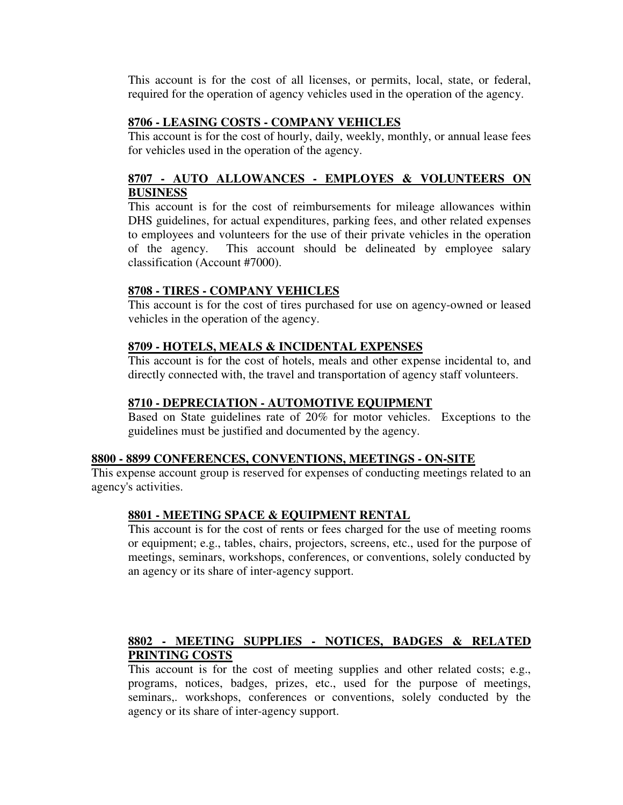This account is for the cost of all licenses, or permits, local, state, or federal, required for the operation of agency vehicles used in the operation of the agency.

# **8706 - LEASING COSTS - COMPANY VEHICLES**

This account is for the cost of hourly, daily, weekly, monthly, or annual lease fees for vehicles used in the operation of the agency.

# **8707 - AUTO ALLOWANCES - EMPLOYES & VOLUNTEERS ON BUSINESS**

This account is for the cost of reimbursements for mileage allowances within DHS guidelines, for actual expenditures, parking fees, and other related expenses to employees and volunteers for the use of their private vehicles in the operation of the agency. This account should be delineated by employee salary classification (Account #7000).

# **8708 - TIRES - COMPANY VEHICLES**

This account is for the cost of tires purchased for use on agency-owned or leased vehicles in the operation of the agency.

# **8709 - HOTELS, MEALS & INCIDENTAL EXPENSES**

This account is for the cost of hotels, meals and other expense incidental to, and directly connected with, the travel and transportation of agency staff volunteers.

# **8710 - DEPRECIATION - AUTOMOTIVE EQUIPMENT**

Based on State guidelines rate of 20% for motor vehicles. Exceptions to the guidelines must be justified and documented by the agency.

#### **8800 - 8899 CONFERENCES, CONVENTIONS, MEETINGS - ON-SITE**

This expense account group is reserved for expenses of conducting meetings related to an agency's activities.

#### **8801 - MEETING SPACE & EQUIPMENT RENTAL**

This account is for the cost of rents or fees charged for the use of meeting rooms or equipment; e.g., tables, chairs, projectors, screens, etc., used for the purpose of meetings, seminars, workshops, conferences, or conventions, solely conducted by an agency or its share of inter-agency support.

# **8802 - MEETING SUPPLIES - NOTICES, BADGES & RELATED PRINTING COSTS**

This account is for the cost of meeting supplies and other related costs; e.g., programs, notices, badges, prizes, etc., used for the purpose of meetings, seminars,. workshops, conferences or conventions, solely conducted by the agency or its share of inter-agency support.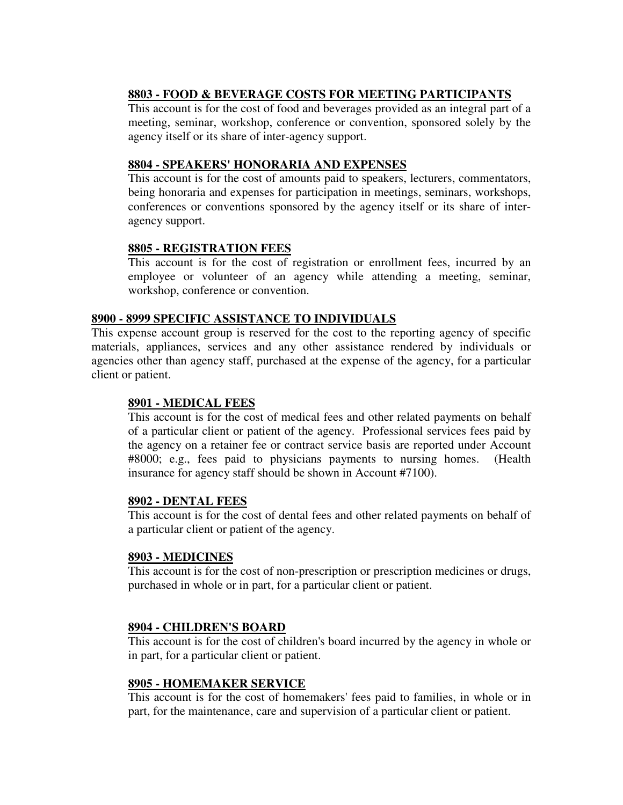# **8803 - FOOD & BEVERAGE COSTS FOR MEETING PARTICIPANTS**

This account is for the cost of food and beverages provided as an integral part of a meeting, seminar, workshop, conference or convention, sponsored solely by the agency itself or its share of inter-agency support.

# **8804 - SPEAKERS' HONORARIA AND EXPENSES**

This account is for the cost of amounts paid to speakers, lecturers, commentators, being honoraria and expenses for participation in meetings, seminars, workshops, conferences or conventions sponsored by the agency itself or its share of interagency support.

# **8805 - REGISTRATION FEES**

This account is for the cost of registration or enrollment fees, incurred by an employee or volunteer of an agency while attending a meeting, seminar, workshop, conference or convention.

#### **8900 - 8999 SPECIFIC ASSISTANCE TO INDIVIDUALS**

This expense account group is reserved for the cost to the reporting agency of specific materials, appliances, services and any other assistance rendered by individuals or agencies other than agency staff, purchased at the expense of the agency, for a particular client or patient.

#### **8901 - MEDICAL FEES**

This account is for the cost of medical fees and other related payments on behalf of a particular client or patient of the agency. Professional services fees paid by the agency on a retainer fee or contract service basis are reported under Account #8000; e.g., fees paid to physicians payments to nursing homes. (Health insurance for agency staff should be shown in Account #7100).

#### **8902 - DENTAL FEES**

This account is for the cost of dental fees and other related payments on behalf of a particular client or patient of the agency.

#### **8903 - MEDICINES**

This account is for the cost of non-prescription or prescription medicines or drugs, purchased in whole or in part, for a particular client or patient.

#### **8904 - CHILDREN'S BOARD**

This account is for the cost of children's board incurred by the agency in whole or in part, for a particular client or patient.

#### **8905 - HOMEMAKER SERVICE**

This account is for the cost of homemakers' fees paid to families, in whole or in part, for the maintenance, care and supervision of a particular client or patient.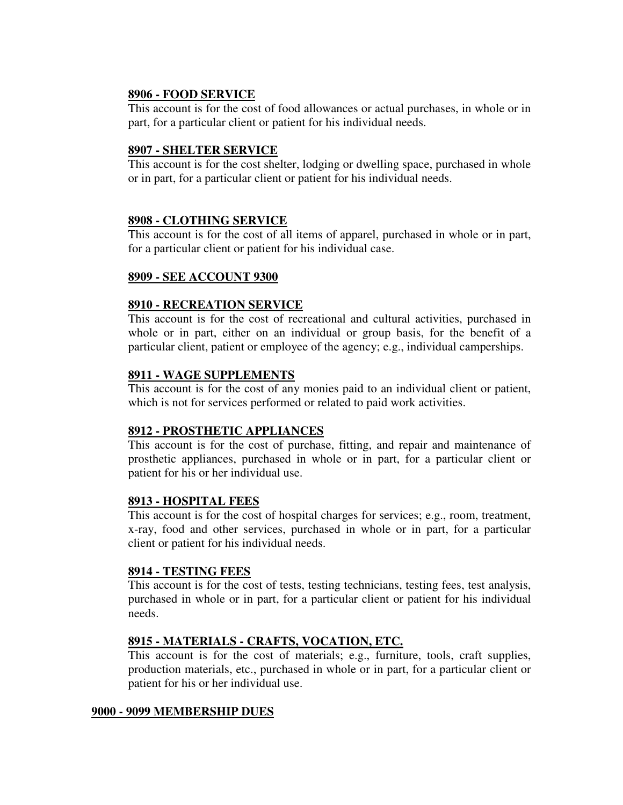#### **8906 - FOOD SERVICE**

This account is for the cost of food allowances or actual purchases, in whole or in part, for a particular client or patient for his individual needs.

# **8907 - SHELTER SERVICE**

This account is for the cost shelter, lodging or dwelling space, purchased in whole or in part, for a particular client or patient for his individual needs.

# **8908 - CLOTHING SERVICE**

This account is for the cost of all items of apparel, purchased in whole or in part, for a particular client or patient for his individual case.

# **8909 - SEE ACCOUNT 9300**

# **8910 - RECREATION SERVICE**

This account is for the cost of recreational and cultural activities, purchased in whole or in part, either on an individual or group basis, for the benefit of a particular client, patient or employee of the agency; e.g., individual camperships.

# **8911 - WAGE SUPPLEMENTS**

This account is for the cost of any monies paid to an individual client or patient, which is not for services performed or related to paid work activities.

#### **8912 - PROSTHETIC APPLIANCES**

This account is for the cost of purchase, fitting, and repair and maintenance of prosthetic appliances, purchased in whole or in part, for a particular client or patient for his or her individual use.

#### **8913 - HOSPITAL FEES**

This account is for the cost of hospital charges for services; e.g., room, treatment, x-ray, food and other services, purchased in whole or in part, for a particular client or patient for his individual needs.

#### **8914 - TESTING FEES**

This account is for the cost of tests, testing technicians, testing fees, test analysis, purchased in whole or in part, for a particular client or patient for his individual needs.

#### **8915 - MATERIALS - CRAFTS, VOCATION, ETC.**

This account is for the cost of materials; e.g., furniture, tools, craft supplies, production materials, etc., purchased in whole or in part, for a particular client or patient for his or her individual use.

#### **9000 - 9099 MEMBERSHIP DUES**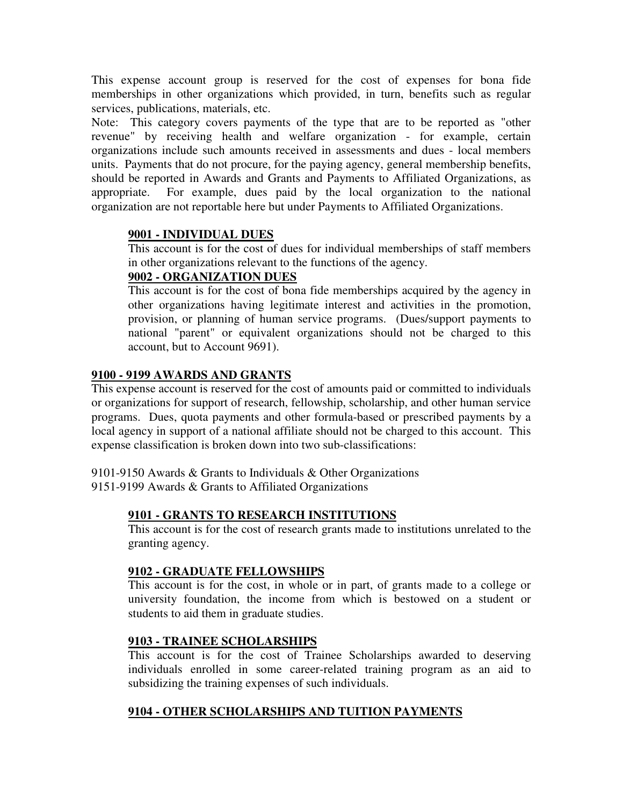This expense account group is reserved for the cost of expenses for bona fide memberships in other organizations which provided, in turn, benefits such as regular services, publications, materials, etc.

Note: This category covers payments of the type that are to be reported as "other revenue" by receiving health and welfare organization - for example, certain organizations include such amounts received in assessments and dues - local members units. Payments that do not procure, for the paying agency, general membership benefits, should be reported in Awards and Grants and Payments to Affiliated Organizations, as appropriate. For example, dues paid by the local organization to the national organization are not reportable here but under Payments to Affiliated Organizations.

# **9001 - INDIVIDUAL DUES**

This account is for the cost of dues for individual memberships of staff members in other organizations relevant to the functions of the agency.

# **9002 - ORGANIZATION DUES**

This account is for the cost of bona fide memberships acquired by the agency in other organizations having legitimate interest and activities in the promotion, provision, or planning of human service programs. (Dues/support payments to national "parent" or equivalent organizations should not be charged to this account, but to Account 9691).

# **9100 - 9199 AWARDS AND GRANTS**

This expense account is reserved for the cost of amounts paid or committed to individuals or organizations for support of research, fellowship, scholarship, and other human service programs. Dues, quota payments and other formula-based or prescribed payments by a local agency in support of a national affiliate should not be charged to this account. This expense classification is broken down into two sub-classifications:

9101-9150 Awards & Grants to Individuals & Other Organizations 9151-9199 Awards & Grants to Affiliated Organizations

# **9101 - GRANTS TO RESEARCH INSTITUTIONS**

This account is for the cost of research grants made to institutions unrelated to the granting agency.

# **9102 - GRADUATE FELLOWSHIPS**

This account is for the cost, in whole or in part, of grants made to a college or university foundation, the income from which is bestowed on a student or students to aid them in graduate studies.

# **9103 - TRAINEE SCHOLARSHIPS**

This account is for the cost of Trainee Scholarships awarded to deserving individuals enrolled in some career-related training program as an aid to subsidizing the training expenses of such individuals.

# **9104 - OTHER SCHOLARSHIPS AND TUITION PAYMENTS**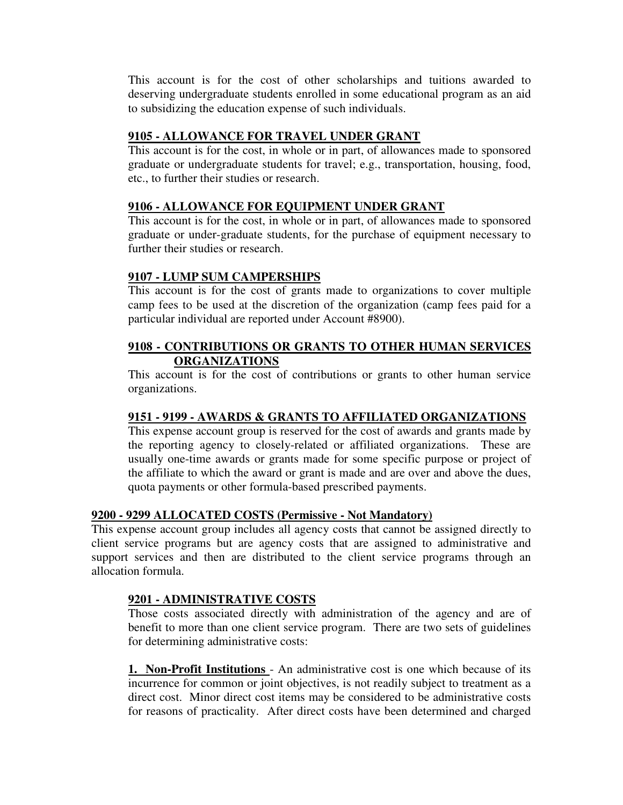This account is for the cost of other scholarships and tuitions awarded to deserving undergraduate students enrolled in some educational program as an aid to subsidizing the education expense of such individuals.

# **9105 - ALLOWANCE FOR TRAVEL UNDER GRANT**

This account is for the cost, in whole or in part, of allowances made to sponsored graduate or undergraduate students for travel; e.g., transportation, housing, food, etc., to further their studies or research.

# **9106 - ALLOWANCE FOR EQUIPMENT UNDER GRANT**

This account is for the cost, in whole or in part, of allowances made to sponsored graduate or under-graduate students, for the purchase of equipment necessary to further their studies or research.

# **9107 - LUMP SUM CAMPERSHIPS**

This account is for the cost of grants made to organizations to cover multiple camp fees to be used at the discretion of the organization (camp fees paid for a particular individual are reported under Account #8900).

# **9108 - CONTRIBUTIONS OR GRANTS TO OTHER HUMAN SERVICES ORGANIZATIONS**

This account is for the cost of contributions or grants to other human service organizations.

# **9151 - 9199 - AWARDS & GRANTS TO AFFILIATED ORGANIZATIONS**

This expense account group is reserved for the cost of awards and grants made by the reporting agency to closely-related or affiliated organizations. These are usually one-time awards or grants made for some specific purpose or project of the affiliate to which the award or grant is made and are over and above the dues, quota payments or other formula-based prescribed payments.

# **9200 - 9299 ALLOCATED COSTS (Permissive - Not Mandatory)**

This expense account group includes all agency costs that cannot be assigned directly to client service programs but are agency costs that are assigned to administrative and support services and then are distributed to the client service programs through an allocation formula.

#### **9201 - ADMINISTRATIVE COSTS**

Those costs associated directly with administration of the agency and are of benefit to more than one client service program. There are two sets of guidelines for determining administrative costs:

**1. Non-Profit Institutions** - An administrative cost is one which because of its incurrence for common or joint objectives, is not readily subject to treatment as a direct cost. Minor direct cost items may be considered to be administrative costs for reasons of practicality. After direct costs have been determined and charged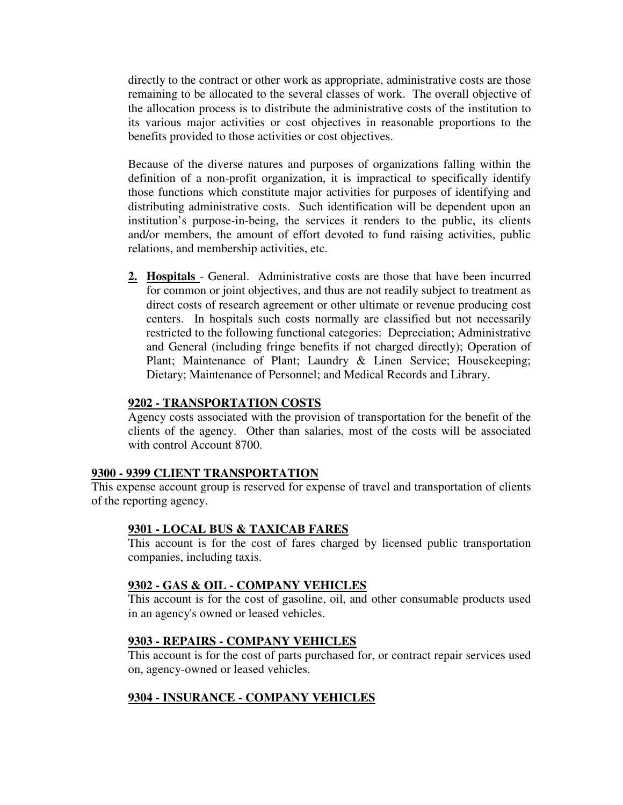directly to the contract or other work as appropriate, administrative costs are those remaining to be allocated to the several classes of work. The overall objective of the allocation process is to distribute the administrative costs of the institution to its various major activities or cost objectives in reasonable proportions to the benefits provided to those activities or cost objectives.

Because of the diverse natures and purposes of organizations falling within the definition of a non-profit organization, it is impractical to specifically identify those functions which constitute major activities for purposes of identifying and distributing administrative costs. Such identification will be dependent upon an institution's purpose-in-being, the services it renders to the public, its clients and/or members, the amount of effort devoted to fund raising activities, public relations, and membership activities, etc.

**2. Hospitals** - General. Administrative costs are those that have been incurred for common or joint objectives, and thus are not readily subject to treatment as direct costs of research agreement or other ultimate or revenue producing cost centers. In hospitals such costs normally are classified but not necessarily restricted to the following functional categories: Depreciation; Administrative and General (including fringe benefits if not charged directly); Operation of Plant; Maintenance of Plant; Laundry & Linen Service; Housekeeping; Dietary; Maintenance of Personnel; and Medical Records and Library.

# **9202 - TRANSPORTATION COSTS**

Agency costs associated with the provision of transportation for the benefit of the clients of the agency. Other than salaries, most of the costs will be associated with control Account 8700.

#### **9300 - 9399 CLIENT TRANSPORTATION**

This expense account group is reserved for expense of travel and transportation of clients of the reporting agency.

#### **9301 - LOCAL BUS & TAXICAB FARES**

This account is for the cost of fares charged by licensed public transportation companies, including taxis.

#### **9302 - GAS & OIL - COMPANY VEHICLES**

This account is for the cost of gasoline, oil, and other consumable products used in an agency's owned or leased vehicles.

# **9303 - REPAIRS - COMPANY VEHICLES**

This account is for the cost of parts purchased for, or contract repair services used on, agency-owned or leased vehicles.

# **9304 - INSURANCE - COMPANY VEHICLES**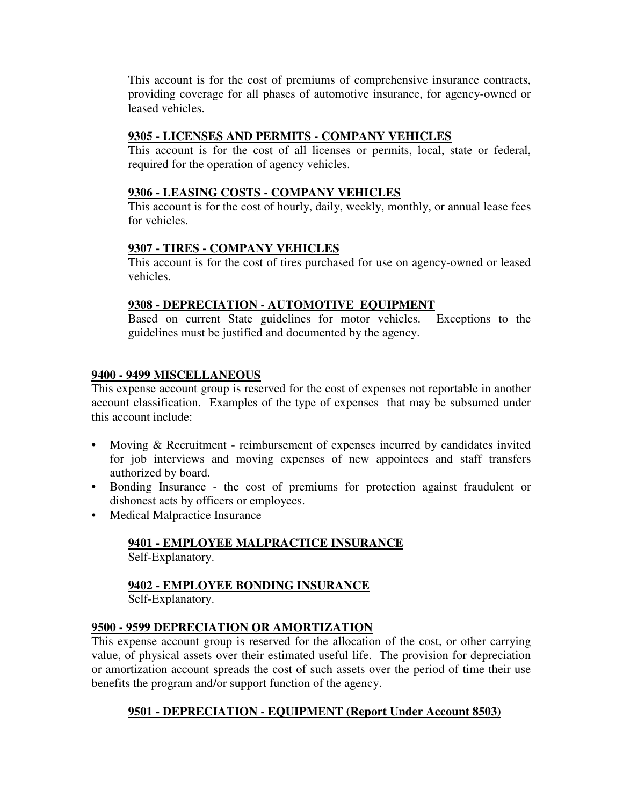This account is for the cost of premiums of comprehensive insurance contracts, providing coverage for all phases of automotive insurance, for agency-owned or leased vehicles.

# **9305 - LICENSES AND PERMITS - COMPANY VEHICLES**

This account is for the cost of all licenses or permits, local, state or federal, required for the operation of agency vehicles.

# **9306 - LEASING COSTS - COMPANY VEHICLES**

This account is for the cost of hourly, daily, weekly, monthly, or annual lease fees for vehicles.

# **9307 - TIRES - COMPANY VEHICLES**

This account is for the cost of tires purchased for use on agency-owned or leased vehicles.

# **9308 - DEPRECIATION - AUTOMOTIVE EQUIPMENT**

Based on current State guidelines for motor vehicles. Exceptions to the guidelines must be justified and documented by the agency.

#### **9400 - 9499 MISCELLANEOUS**

This expense account group is reserved for the cost of expenses not reportable in another account classification. Examples of the type of expenses that may be subsumed under this account include:

- Moving & Recruitment reimbursement of expenses incurred by candidates invited for job interviews and moving expenses of new appointees and staff transfers authorized by board.
- Bonding Insurance the cost of premiums for protection against fraudulent or dishonest acts by officers or employees.
- Medical Malpractice Insurance

# **9401 - EMPLOYEE MALPRACTICE INSURANCE**

# Self-Explanatory.

# **9402 - EMPLOYEE BONDING INSURANCE**

Self-Explanatory.

#### **9500 - 9599 DEPRECIATION OR AMORTIZATION**

This expense account group is reserved for the allocation of the cost, or other carrying value, of physical assets over their estimated useful life. The provision for depreciation or amortization account spreads the cost of such assets over the period of time their use benefits the program and/or support function of the agency.

# **9501 - DEPRECIATION - EQUIPMENT (Report Under Account 8503)**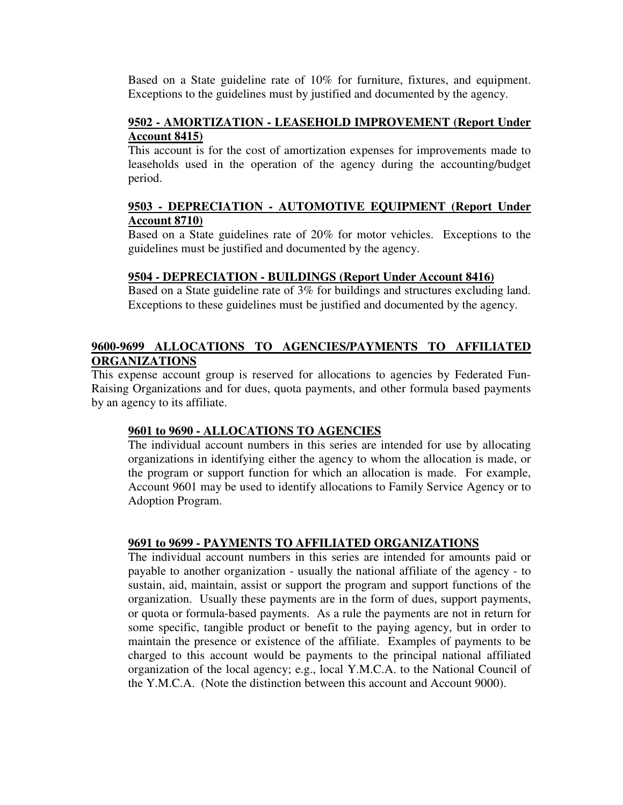Based on a State guideline rate of 10% for furniture, fixtures, and equipment. Exceptions to the guidelines must by justified and documented by the agency.

# **9502 - AMORTIZATION - LEASEHOLD IMPROVEMENT (Report Under Account 8415)**

This account is for the cost of amortization expenses for improvements made to leaseholds used in the operation of the agency during the accounting/budget period.

# **9503 - DEPRECIATION - AUTOMOTIVE EQUIPMENT (Report Under Account 8710)**

Based on a State guidelines rate of 20% for motor vehicles. Exceptions to the guidelines must be justified and documented by the agency.

# **9504 - DEPRECIATION - BUILDINGS (Report Under Account 8416)**

Based on a State guideline rate of 3% for buildings and structures excluding land. Exceptions to these guidelines must be justified and documented by the agency.

# **9600-9699 ALLOCATIONS TO AGENCIES/PAYMENTS TO AFFILIATED ORGANIZATIONS**

This expense account group is reserved for allocations to agencies by Federated Fun-Raising Organizations and for dues, quota payments, and other formula based payments by an agency to its affiliate.

# **9601 to 9690 - ALLOCATIONS TO AGENCIES**

The individual account numbers in this series are intended for use by allocating organizations in identifying either the agency to whom the allocation is made, or the program or support function for which an allocation is made. For example, Account 9601 may be used to identify allocations to Family Service Agency or to Adoption Program.

#### **9691 to 9699 - PAYMENTS TO AFFILIATED ORGANIZATIONS**

The individual account numbers in this series are intended for amounts paid or payable to another organization - usually the national affiliate of the agency - to sustain, aid, maintain, assist or support the program and support functions of the organization. Usually these payments are in the form of dues, support payments, or quota or formula-based payments. As a rule the payments are not in return for some specific, tangible product or benefit to the paying agency, but in order to maintain the presence or existence of the affiliate. Examples of payments to be charged to this account would be payments to the principal national affiliated organization of the local agency; e.g., local Y.M.C.A. to the National Council of the Y.M.C.A. (Note the distinction between this account and Account 9000).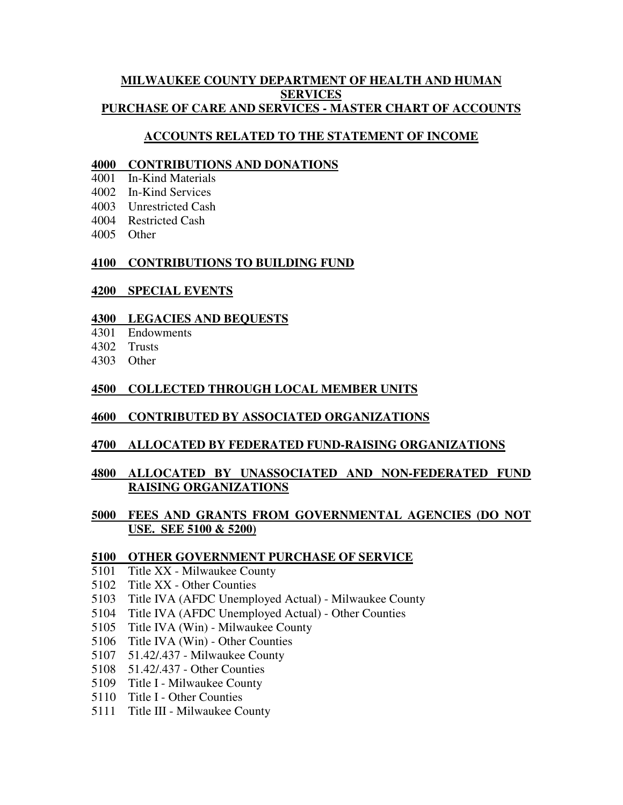#### **MILWAUKEE COUNTY DEPARTMENT OF HEALTH AND HUMAN SERVICES PURCHASE OF CARE AND SERVICES - MASTER CHART OF ACCOUNTS**

# **ACCOUNTS RELATED TO THE STATEMENT OF INCOME**

#### **CONTRIBUTIONS AND DONATIONS**

- In-Kind Materials
- In-Kind Services
- Unrestricted Cash
- Restricted Cash
- Other

# **CONTRIBUTIONS TO BUILDING FUND**

# **SPECIAL EVENTS**

# **LEGACIES AND BEQUESTS**

- Endowments
- Trusts
- Other

# **COLLECTED THROUGH LOCAL MEMBER UNITS**

# **CONTRIBUTED BY ASSOCIATED ORGANIZATIONS**

# **ALLOCATED BY FEDERATED FUND-RAISING ORGANIZATIONS**

# **ALLOCATED BY UNASSOCIATED AND NON-FEDERATED FUND RAISING ORGANIZATIONS**

# **FEES AND GRANTS FROM GOVERNMENTAL AGENCIES (DO NOT USE. SEE 5100 & 5200)**

#### **OTHER GOVERNMENT PURCHASE OF SERVICE**

- Title XX Milwaukee County
- Title XX Other Counties
- Title IVA (AFDC Unemployed Actual) Milwaukee County
- Title IVA (AFDC Unemployed Actual) Other Counties
- Title IVA (Win) Milwaukee County
- Title IVA (Win) Other Counties
- 51.42/.437 Milwaukee County
- 51.42/.437 Other Counties
- Title I Milwaukee County
- Title I Other Counties
- Title III Milwaukee County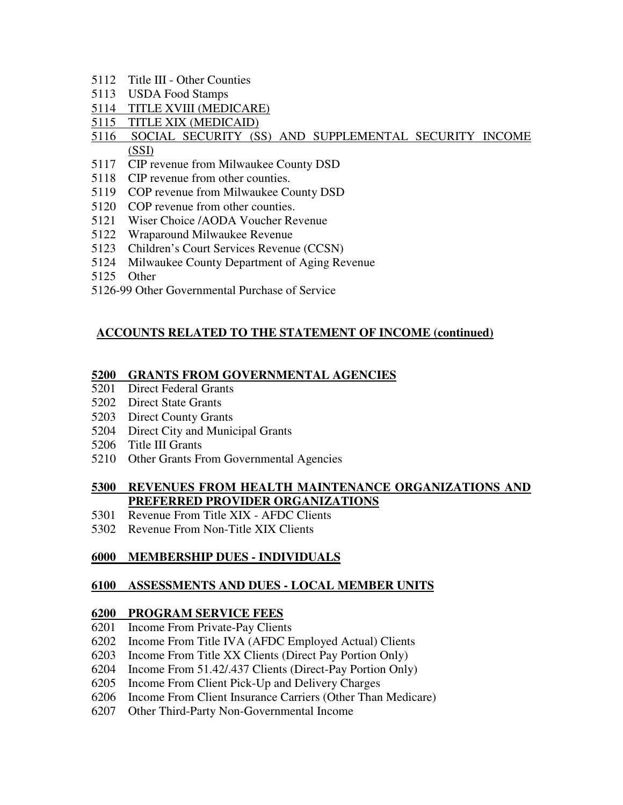- Title III Other Counties
- USDA Food Stamps
- TITLE XVIII (MEDICARE)
- TITLE XIX (MEDICAID)

# SOCIAL SECURITY (SS) AND SUPPLEMENTAL SECURITY INCOME (SSI)

- CIP revenue from Milwaukee County DSD
- CIP revenue from other counties.
- COP revenue from Milwaukee County DSD
- COP revenue from other counties.
- Wiser Choice /AODA Voucher Revenue
- Wraparound Milwaukee Revenue
- Children's Court Services Revenue (CCSN)
- Milwaukee County Department of Aging Revenue
- Other
- 5126-99 Other Governmental Purchase of Service

#### **ACCOUNTS RELATED TO THE STATEMENT OF INCOME (continued)**

#### **GRANTS FROM GOVERNMENTAL AGENCIES**

- Direct Federal Grants
- Direct State Grants
- Direct County Grants
- Direct City and Municipal Grants
- Title III Grants
- Other Grants From Governmental Agencies

#### **REVENUES FROM HEALTH MAINTENANCE ORGANIZATIONS AND PREFERRED PROVIDER ORGANIZATIONS**

- Revenue From Title XIX AFDC Clients
- Revenue From Non-Title XIX Clients

#### **MEMBERSHIP DUES - INDIVIDUALS**

#### **ASSESSMENTS AND DUES - LOCAL MEMBER UNITS**

#### **PROGRAM SERVICE FEES**

- Income From Private-Pay Clients
- Income From Title IVA (AFDC Employed Actual) Clients
- Income From Title XX Clients (Direct Pay Portion Only)
- Income From 51.42/.437 Clients (Direct-Pay Portion Only)
- Income From Client Pick-Up and Delivery Charges
- Income From Client Insurance Carriers (Other Than Medicare)
- Other Third-Party Non-Governmental Income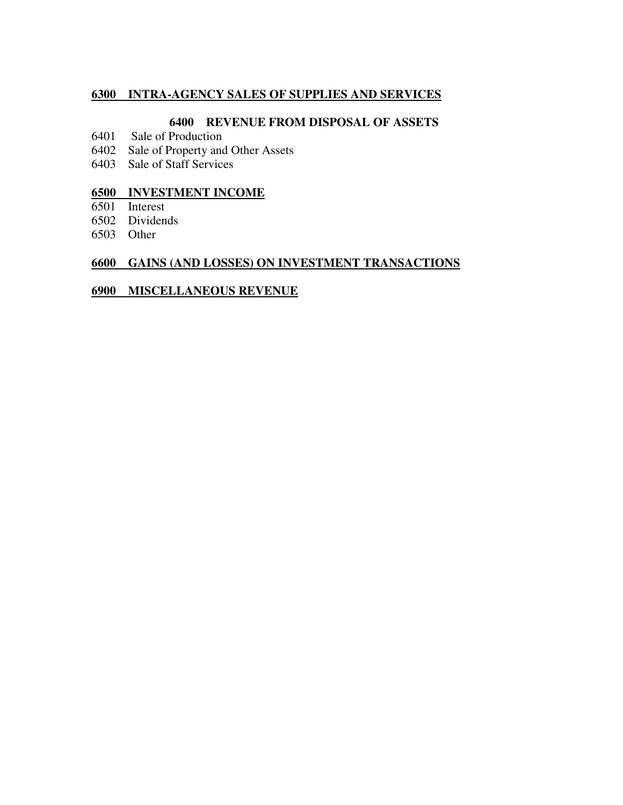#### **INTRA-AGENCY SALES OF SUPPLIES AND SERVICES**

#### **REVENUE FROM DISPOSAL OF ASSETS**

- Sale of Production
- Sale of Property and Other Assets
- Sale of Staff Services

# **INVESTMENT INCOME**

- Interest
- Dividends
- Other

# **GAINS (AND LOSSES) ON INVESTMENT TRANSACTIONS**

#### **MISCELLANEOUS REVENUE**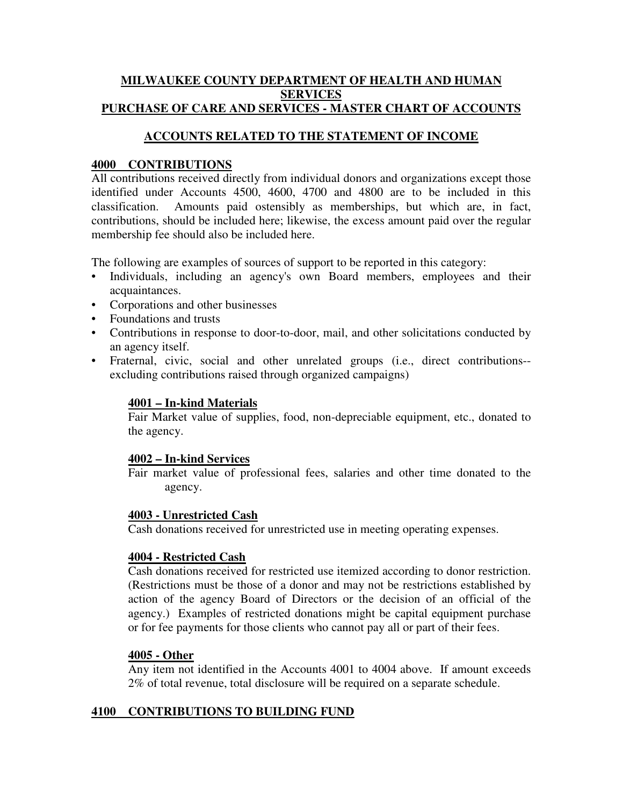#### **MILWAUKEE COUNTY DEPARTMENT OF HEALTH AND HUMAN SERVICES PURCHASE OF CARE AND SERVICES - MASTER CHART OF ACCOUNTS**

# **ACCOUNTS RELATED TO THE STATEMENT OF INCOME**

# **4000 CONTRIBUTIONS**

All contributions received directly from individual donors and organizations except those identified under Accounts 4500, 4600, 4700 and 4800 are to be included in this classification. Amounts paid ostensibly as memberships, but which are, in fact, contributions, should be included here; likewise, the excess amount paid over the regular membership fee should also be included here.

The following are examples of sources of support to be reported in this category:

- Individuals, including an agency's own Board members, employees and their acquaintances.
- Corporations and other businesses
- Foundations and trusts
- Contributions in response to door-to-door, mail, and other solicitations conducted by an agency itself.
- Fraternal, civic, social and other unrelated groups (i.e., direct contributions- excluding contributions raised through organized campaigns)

#### **4001 – In-kind Materials**

Fair Market value of supplies, food, non-depreciable equipment, etc., donated to the agency.

#### **4002 – In-kind Services**

Fair market value of professional fees, salaries and other time donated to the agency.

#### **4003 - Unrestricted Cash**

Cash donations received for unrestricted use in meeting operating expenses.

#### **4004 - Restricted Cash**

Cash donations received for restricted use itemized according to donor restriction. (Restrictions must be those of a donor and may not be restrictions established by action of the agency Board of Directors or the decision of an official of the agency.) Examples of restricted donations might be capital equipment purchase or for fee payments for those clients who cannot pay all or part of their fees.

#### **4005 - Other**

Any item not identified in the Accounts 4001 to 4004 above. If amount exceeds 2% of total revenue, total disclosure will be required on a separate schedule.

#### **4100 CONTRIBUTIONS TO BUILDING FUND**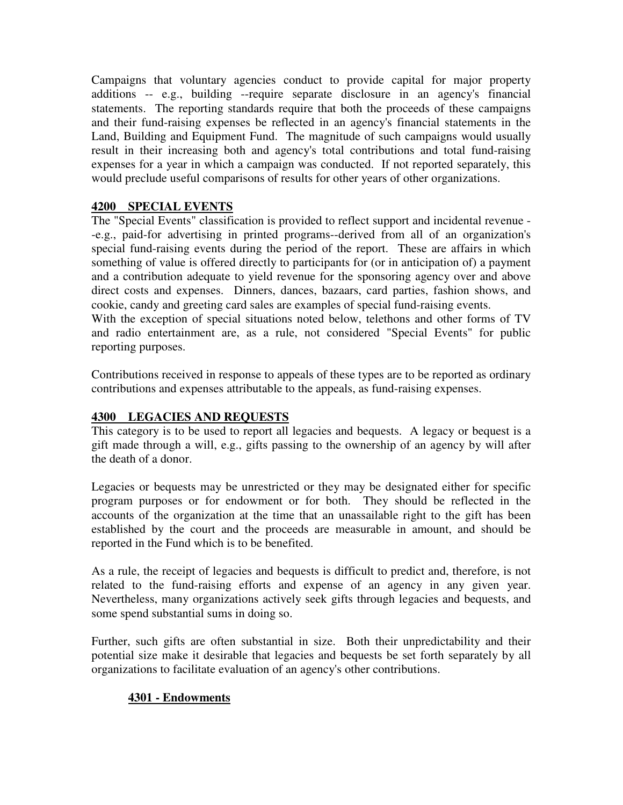Campaigns that voluntary agencies conduct to provide capital for major property additions -- e.g., building --require separate disclosure in an agency's financial statements. The reporting standards require that both the proceeds of these campaigns and their fund-raising expenses be reflected in an agency's financial statements in the Land, Building and Equipment Fund. The magnitude of such campaigns would usually result in their increasing both and agency's total contributions and total fund-raising expenses for a year in which a campaign was conducted. If not reported separately, this would preclude useful comparisons of results for other years of other organizations.

# **4200 SPECIAL EVENTS**

The "Special Events" classification is provided to reflect support and incidental revenue - -e.g., paid-for advertising in printed programs--derived from all of an organization's special fund-raising events during the period of the report. These are affairs in which something of value is offered directly to participants for (or in anticipation of) a payment and a contribution adequate to yield revenue for the sponsoring agency over and above direct costs and expenses. Dinners, dances, bazaars, card parties, fashion shows, and cookie, candy and greeting card sales are examples of special fund-raising events.

With the exception of special situations noted below, telethons and other forms of TV and radio entertainment are, as a rule, not considered "Special Events" for public reporting purposes.

Contributions received in response to appeals of these types are to be reported as ordinary contributions and expenses attributable to the appeals, as fund-raising expenses.

# **4300 LEGACIES AND REQUESTS**

This category is to be used to report all legacies and bequests. A legacy or bequest is a gift made through a will, e.g., gifts passing to the ownership of an agency by will after the death of a donor.

Legacies or bequests may be unrestricted or they may be designated either for specific program purposes or for endowment or for both. They should be reflected in the accounts of the organization at the time that an unassailable right to the gift has been established by the court and the proceeds are measurable in amount, and should be reported in the Fund which is to be benefited.

As a rule, the receipt of legacies and bequests is difficult to predict and, therefore, is not related to the fund-raising efforts and expense of an agency in any given year. Nevertheless, many organizations actively seek gifts through legacies and bequests, and some spend substantial sums in doing so.

Further, such gifts are often substantial in size. Both their unpredictability and their potential size make it desirable that legacies and bequests be set forth separately by all organizations to facilitate evaluation of an agency's other contributions.

# **4301 - Endowments**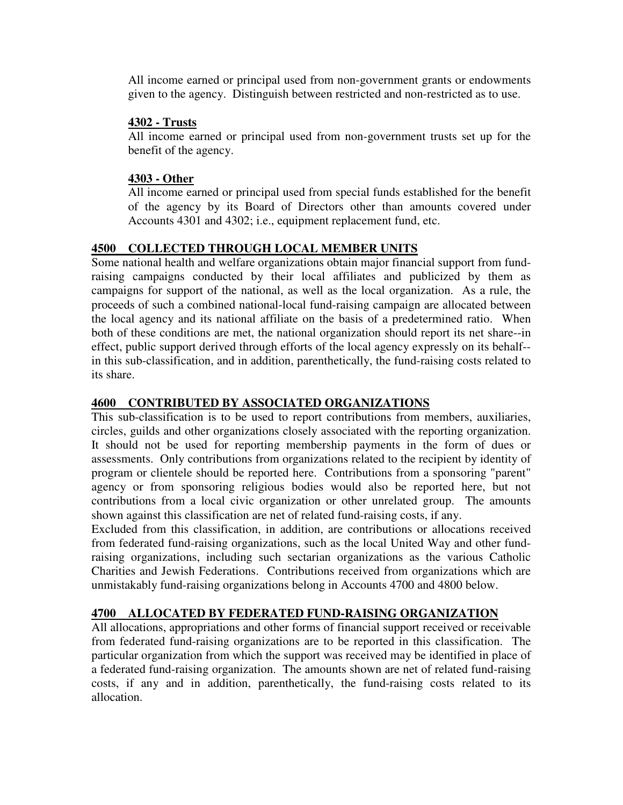All income earned or principal used from non-government grants or endowments given to the agency. Distinguish between restricted and non-restricted as to use.

#### **4302 - Trusts**

All income earned or principal used from non-government trusts set up for the benefit of the agency.

# **4303 - Other**

All income earned or principal used from special funds established for the benefit of the agency by its Board of Directors other than amounts covered under Accounts 4301 and 4302; i.e., equipment replacement fund, etc.

# **4500 COLLECTED THROUGH LOCAL MEMBER UNITS**

Some national health and welfare organizations obtain major financial support from fundraising campaigns conducted by their local affiliates and publicized by them as campaigns for support of the national, as well as the local organization. As a rule, the proceeds of such a combined national-local fund-raising campaign are allocated between the local agency and its national affiliate on the basis of a predetermined ratio. When both of these conditions are met, the national organization should report its net share--in effect, public support derived through efforts of the local agency expressly on its behalf- in this sub-classification, and in addition, parenthetically, the fund-raising costs related to its share.

# **4600 CONTRIBUTED BY ASSOCIATED ORGANIZATIONS**

This sub-classification is to be used to report contributions from members, auxiliaries, circles, guilds and other organizations closely associated with the reporting organization. It should not be used for reporting membership payments in the form of dues or assessments. Only contributions from organizations related to the recipient by identity of program or clientele should be reported here. Contributions from a sponsoring "parent" agency or from sponsoring religious bodies would also be reported here, but not contributions from a local civic organization or other unrelated group. The amounts shown against this classification are net of related fund-raising costs, if any.

Excluded from this classification, in addition, are contributions or allocations received from federated fund-raising organizations, such as the local United Way and other fundraising organizations, including such sectarian organizations as the various Catholic Charities and Jewish Federations. Contributions received from organizations which are unmistakably fund-raising organizations belong in Accounts 4700 and 4800 below.

# **4700 ALLOCATED BY FEDERATED FUND-RAISING ORGANIZATION**

All allocations, appropriations and other forms of financial support received or receivable from federated fund-raising organizations are to be reported in this classification. The particular organization from which the support was received may be identified in place of a federated fund-raising organization. The amounts shown are net of related fund-raising costs, if any and in addition, parenthetically, the fund-raising costs related to its allocation.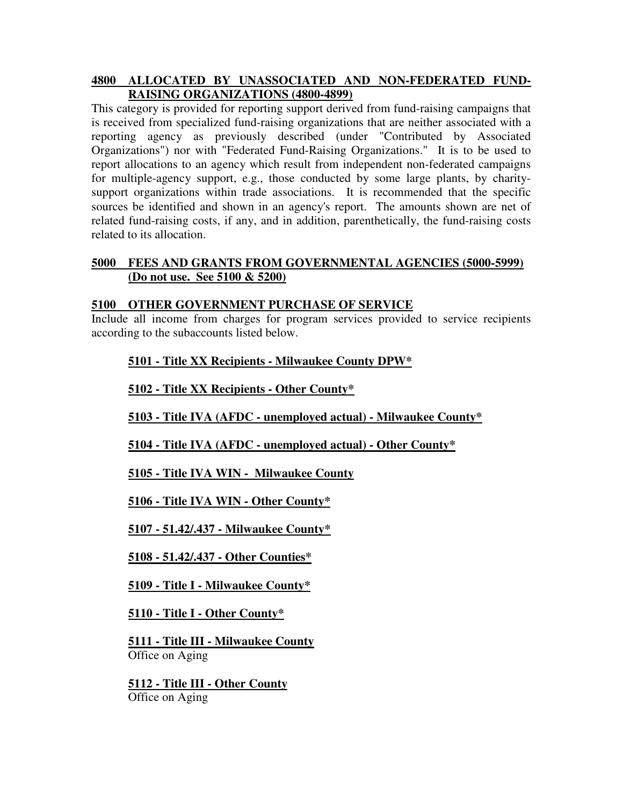#### **4800 ALLOCATED BY UNASSOCIATED AND NON-FEDERATED FUND-RAISING ORGANIZATIONS (4800-4899)**

This category is provided for reporting support derived from fund-raising campaigns that is received from specialized fund-raising organizations that are neither associated with a reporting agency as previously described (under "Contributed by Associated Organizations") nor with "Federated Fund-Raising Organizations." It is to be used to report allocations to an agency which result from independent non-federated campaigns for multiple-agency support, e.g., those conducted by some large plants, by charitysupport organizations within trade associations. It is recommended that the specific sources be identified and shown in an agency's report. The amounts shown are net of related fund-raising costs, if any, and in addition, parenthetically, the fund-raising costs related to its allocation.

#### **5000 FEES AND GRANTS FROM GOVERNMENTAL AGENCIES (5000-5999) (Do not use. See 5100 & 5200)**

# **5100 OTHER GOVERNMENT PURCHASE OF SERVICE**

Include all income from charges for program services provided to service recipients according to the subaccounts listed below.

# **5101 - Title XX Recipients - Milwaukee County DPW\***

**5102 - Title XX Recipients - Other County\***

**5103 - Title IVA (AFDC - unemployed actual) - Milwaukee County\***

**5104 - Title IVA (AFDC - unemployed actual) - Other County\***

**5105 - Title IVA WIN - Milwaukee County**

**5106 - Title IVA WIN - Other County\***

**5107 - 51.42/.437 - Milwaukee County\***

**5108 - 51.42/.437 - Other Counties\***

**5109 - Title I - Milwaukee County\***

**5110 - Title I - Other County\***

**5111 - Title III - Milwaukee County** Office on Aging

**5112 - Title III - Other County** Office on Aging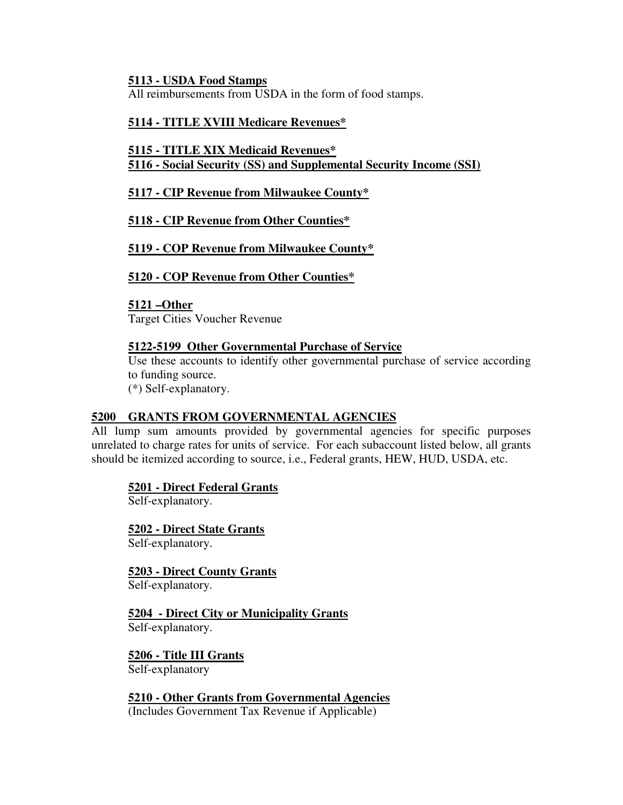#### **5113 - USDA Food Stamps**

All reimbursements from USDA in the form of food stamps.

# **5114 - TITLE XVIII Medicare Revenues\***

#### **5115 - TITLE XIX Medicaid Revenues\* 5116 - Social Security (SS) and Supplemental Security Income (SSI)**

# **5117 - CIP Revenue from Milwaukee County\***

# **5118 - CIP Revenue from Other Counties\***

# **5119 - COP Revenue from Milwaukee County\***

# **5120 - COP Revenue from Other Counties\***

#### **5121 –Other**

Target Cities Voucher Revenue

#### **5122-5199 Other Governmental Purchase of Service**

Use these accounts to identify other governmental purchase of service according to funding source.

(\*) Self-explanatory.

#### **5200 GRANTS FROM GOVERNMENTAL AGENCIES**

All lump sum amounts provided by governmental agencies for specific purposes unrelated to charge rates for units of service. For each subaccount listed below, all grants should be itemized according to source, i.e., Federal grants, HEW, HUD, USDA, etc.

#### **5201 - Direct Federal Grants**

Self-explanatory.

**5202 - Direct State Grants** Self-explanatory.

**5203 - Direct County Grants** Self-explanatory.

#### **5204 - Direct City or Municipality Grants** Self-explanatory.

**5206 - Title III Grants**

Self-explanatory

**5210 - Other Grants from Governmental Agencies** (Includes Government Tax Revenue if Applicable)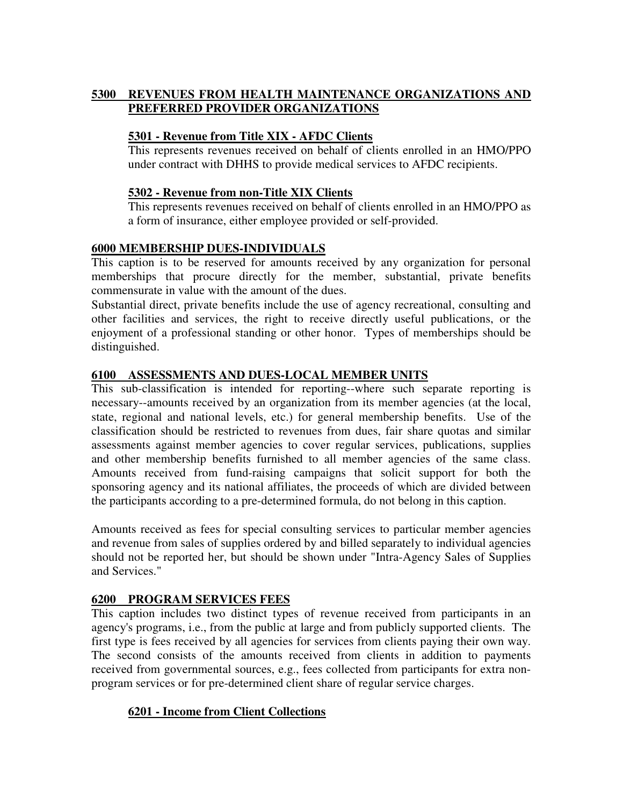# **5300 REVENUES FROM HEALTH MAINTENANCE ORGANIZATIONS AND PREFERRED PROVIDER ORGANIZATIONS**

# **5301 - Revenue from Title XIX - AFDC Clients**

This represents revenues received on behalf of clients enrolled in an HMO/PPO under contract with DHHS to provide medical services to AFDC recipients.

# **5302 - Revenue from non-Title XIX Clients**

This represents revenues received on behalf of clients enrolled in an HMO/PPO as a form of insurance, either employee provided or self-provided.

# **6000 MEMBERSHIP DUES-INDIVIDUALS**

This caption is to be reserved for amounts received by any organization for personal memberships that procure directly for the member, substantial, private benefits commensurate in value with the amount of the dues.

Substantial direct, private benefits include the use of agency recreational, consulting and other facilities and services, the right to receive directly useful publications, or the enjoyment of a professional standing or other honor. Types of memberships should be distinguished.

# **6100 ASSESSMENTS AND DUES-LOCAL MEMBER UNITS**

This sub-classification is intended for reporting--where such separate reporting is necessary--amounts received by an organization from its member agencies (at the local, state, regional and national levels, etc.) for general membership benefits. Use of the classification should be restricted to revenues from dues, fair share quotas and similar assessments against member agencies to cover regular services, publications, supplies and other membership benefits furnished to all member agencies of the same class. Amounts received from fund-raising campaigns that solicit support for both the sponsoring agency and its national affiliates, the proceeds of which are divided between the participants according to a pre-determined formula, do not belong in this caption.

Amounts received as fees for special consulting services to particular member agencies and revenue from sales of supplies ordered by and billed separately to individual agencies should not be reported her, but should be shown under "Intra-Agency Sales of Supplies and Services."

# **6200 PROGRAM SERVICES FEES**

This caption includes two distinct types of revenue received from participants in an agency's programs, i.e., from the public at large and from publicly supported clients. The first type is fees received by all agencies for services from clients paying their own way. The second consists of the amounts received from clients in addition to payments received from governmental sources, e.g., fees collected from participants for extra nonprogram services or for pre-determined client share of regular service charges.

# **6201 - Income from Client Collections**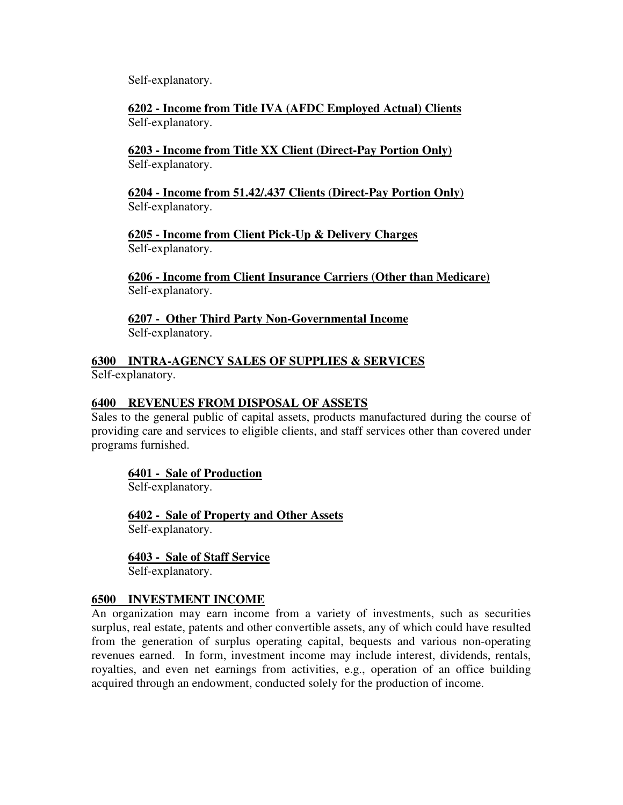Self-explanatory.

**6202 - Income from Title IVA (AFDC Employed Actual) Clients** Self-explanatory.

**6203 - Income from Title XX Client (Direct-Pay Portion Only)** Self-explanatory.

**6204 - Income from 51.42/.437 Clients (Direct-Pay Portion Only)** Self-explanatory.

**6205 - Income from Client Pick-Up & Delivery Charges** Self-explanatory.

**6206 - Income from Client Insurance Carriers (Other than Medicare)** Self-explanatory.

**6207 - Other Third Party Non-Governmental Income** Self-explanatory.

**6300 INTRA-AGENCY SALES OF SUPPLIES & SERVICES** Self-explanatory.

# **6400 REVENUES FROM DISPOSAL OF ASSETS**

Sales to the general public of capital assets, products manufactured during the course of providing care and services to eligible clients, and staff services other than covered under programs furnished.

#### **6401 - Sale of Production**

Self-explanatory.

**6402 - Sale of Property and Other Assets** Self-explanatory.

**6403 - Sale of Staff Service**

Self-explanatory.

#### **6500 INVESTMENT INCOME**

An organization may earn income from a variety of investments, such as securities surplus, real estate, patents and other convertible assets, any of which could have resulted from the generation of surplus operating capital, bequests and various non-operating revenues earned. In form, investment income may include interest, dividends, rentals, royalties, and even net earnings from activities, e.g., operation of an office building acquired through an endowment, conducted solely for the production of income.